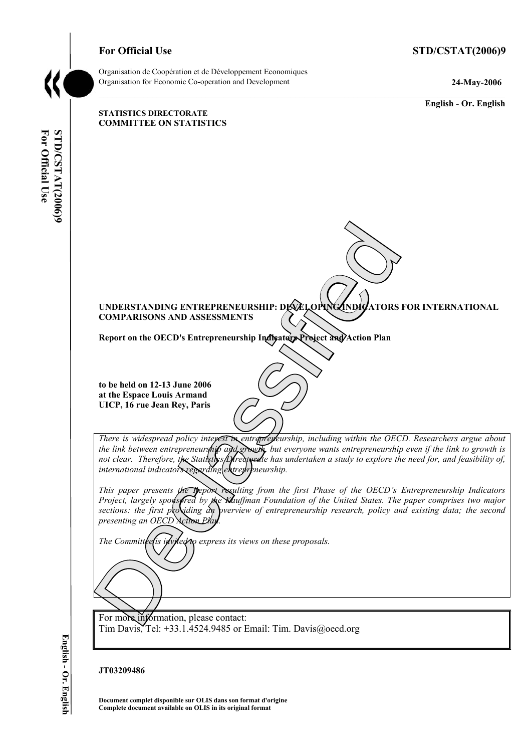# **For Official Use STD/CSTAT(2006)9**



Organisation de CoopÈration et de DÈveloppement Economiques Organisation for Economic Co-operation and Development **24-May-2006** 

**English - Or. English** 

#### **STATISTICS DIRECTORATE COMMITTEE ON STATISTICS**



# English - Or. English

# **JT03209486**

**Document complet disponible sur OLIS dans son format d'origine Complete document available on OLIS in its original format**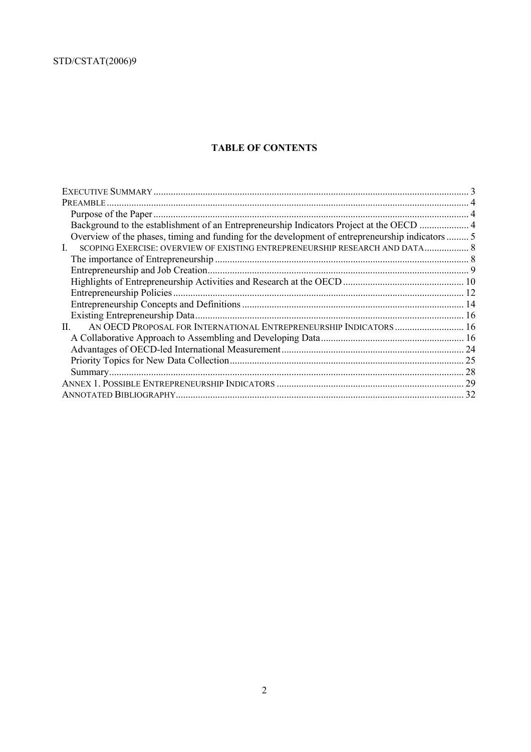# **TABLE OF CONTENTS**

| Overview of the phases, timing and funding for the development of entrepreneurship indicators  5 |  |
|--------------------------------------------------------------------------------------------------|--|
| SCOPING EXERCISE: OVERVIEW OF EXISTING ENTREPRENEURSHIP RESEARCH AND DATA 8<br>I.                |  |
|                                                                                                  |  |
|                                                                                                  |  |
|                                                                                                  |  |
|                                                                                                  |  |
|                                                                                                  |  |
|                                                                                                  |  |
| AN OECD PROPOSAL FOR INTERNATIONAL ENTREPRENEURSHIP INDICATORS  16<br>H.                         |  |
|                                                                                                  |  |
|                                                                                                  |  |
|                                                                                                  |  |
|                                                                                                  |  |
|                                                                                                  |  |
|                                                                                                  |  |
|                                                                                                  |  |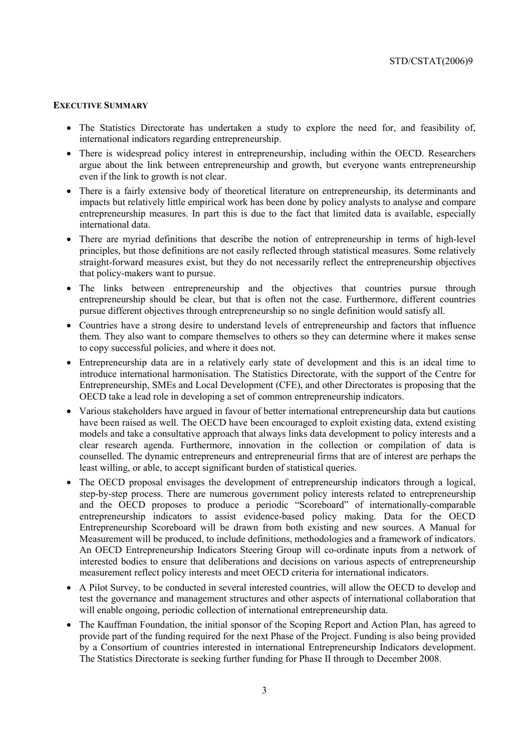#### **EXECUTIVE SUMMARY**

- The Statistics Directorate has undertaken a study to explore the need for, and feasibility of, international indicators regarding entrepreneurship.
- There is widespread policy interest in entrepreneurship, including within the OECD. Researchers argue about the link between entrepreneurship and growth, but everyone wants entrepreneurship even if the link to growth is not clear.
- There is a fairly extensive body of theoretical literature on entrepreneurship, its determinants and impacts but relatively little empirical work has been done by policy analysts to analyse and compare entrepreneurship measures. In part this is due to the fact that limited data is available, especially international data.
- There are myriad definitions that describe the notion of entrepreneurship in terms of high-level principles, but those definitions are not easily reflected through statistical measures. Some relatively straight-forward measures exist, but they do not necessarily reflect the entrepreneurship objectives that policy-makers want to pursue.
- The links between entrepreneurship and the objectives that countries pursue through entrepreneurship should be clear, but that is often not the case. Furthermore, different countries pursue different objectives through entrepreneurship so no single definition would satisfy all.
- Countries have a strong desire to understand levels of entrepreneurship and factors that influence them. They also want to compare themselves to others so they can determine where it makes sense to copy successful policies, and where it does not.
- Entrepreneurship data are in a relatively early state of development and this is an ideal time to introduce international harmonisation. The Statistics Directorate, with the support of the Centre for Entrepreneurship, SMEs and Local Development (CFE), and other Directorates is proposing that the OECD take a lead role in developing a set of common entrepreneurship indicators.
- Various stakeholders have argued in favour of better international entrepreneurship data but cautions have been raised as well. The OECD have been encouraged to exploit existing data, extend existing models and take a consultative approach that always links data development to policy interests and a clear research agenda. Furthermore, innovation in the collection or compilation of data is counselled. The dynamic entrepreneurs and entrepreneurial firms that are of interest are perhaps the least willing, or able, to accept significant burden of statistical queries.
- The OECD proposal envisages the development of entrepreneurship indicators through a logical, step-by-step process. There are numerous government policy interests related to entrepreneurship and the OECD proposes to produce a periodic "Scoreboard" of internationally-comparable entrepreneurship indicators to assist evidence-based policy making. Data for the OECD Entrepreneurship Scoreboard will be drawn from both existing and new sources. A Manual for Measurement will be produced, to include definitions, methodologies and a framework of indicators. An OECD Entrepreneurship Indicators Steering Group will co-ordinate inputs from a network of interested bodies to ensure that deliberations and decisions on various aspects of entrepreneurship measurement reflect policy interests and meet OECD criteria for international indicators.
- A Pilot Survey, to be conducted in several interested countries, will allow the OECD to develop and test the governance and management structures and other aspects of international collaboration that will enable ongoing, periodic collection of international entrepreneurship data.
- The Kauffman Foundation, the initial sponsor of the Scoping Report and Action Plan, has agreed to provide part of the funding required for the next Phase of the Project. Funding is also being provided by a Consortium of countries interested in international Entrepreneurship Indicators development. The Statistics Directorate is seeking further funding for Phase II through to December 2008.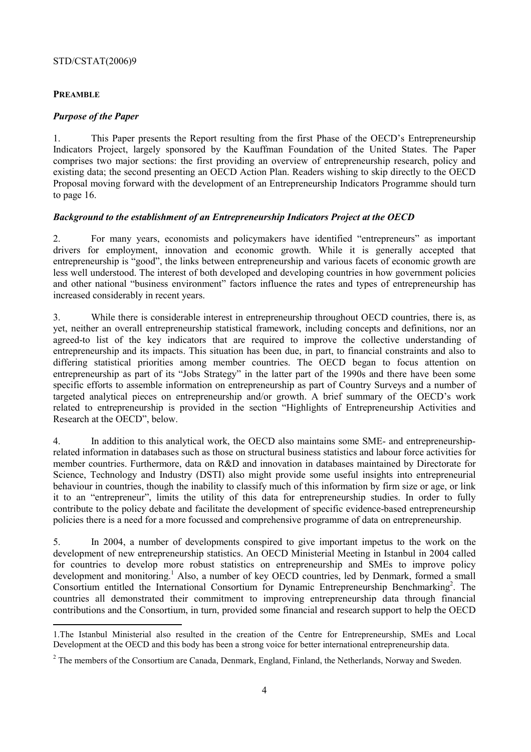## **PREAMBLE**

 $\overline{a}$ 

# *Purpose of the Paper*

This Paper presents the Report resulting from the first Phase of the OECD's Entrepreneurship Indicators Project, largely sponsored by the Kauffman Foundation of the United States. The Paper comprises two major sections: the first providing an overview of entrepreneurship research, policy and existing data; the second presenting an OECD Action Plan. Readers wishing to skip directly to the OECD Proposal moving forward with the development of an Entrepreneurship Indicators Programme should turn to page 16.

# *Background to the establishment of an Entrepreneurship Indicators Project at the OECD*

2. For many years, economists and policymakers have identified "entrepreneurs" as important drivers for employment, innovation and economic growth. While it is generally accepted that entrepreneurship is "good", the links between entrepreneurship and various facets of economic growth are less well understood. The interest of both developed and developing countries in how government policies and other national "business environment" factors influence the rates and types of entrepreneurship has increased considerably in recent years.

3. While there is considerable interest in entrepreneurship throughout OECD countries, there is, as yet, neither an overall entrepreneurship statistical framework, including concepts and definitions, nor an agreed-to list of the key indicators that are required to improve the collective understanding of entrepreneurship and its impacts. This situation has been due, in part, to financial constraints and also to differing statistical priorities among member countries. The OECD began to focus attention on entrepreneurship as part of its "Jobs Strategy" in the latter part of the 1990s and there have been some specific efforts to assemble information on entrepreneurship as part of Country Surveys and a number of targeted analytical pieces on entrepreneurship and/or growth. A brief summary of the OECD's work related to entrepreneurship is provided in the section "Highlights of Entrepreneurship Activities and Research at the OECD", below.

4. In addition to this analytical work, the OECD also maintains some SME- and entrepreneurshiprelated information in databases such as those on structural business statistics and labour force activities for member countries. Furthermore, data on R&D and innovation in databases maintained by Directorate for Science, Technology and Industry (DSTI) also might provide some useful insights into entrepreneurial behaviour in countries, though the inability to classify much of this information by firm size or age, or link it to an "entrepreneur", limits the utility of this data for entrepreneurship studies. In order to fully contribute to the policy debate and facilitate the development of specific evidence-based entrepreneurship policies there is a need for a more focussed and comprehensive programme of data on entrepreneurship.

5. In 2004, a number of developments conspired to give important impetus to the work on the development of new entrepreneurship statistics. An OECD Ministerial Meeting in Istanbul in 2004 called for countries to develop more robust statistics on entrepreneurship and SMEs to improve policy development and monitoring.<sup>1</sup> Also, a number of key OECD countries, led by Denmark, formed a small Consortium entitled the International Consortium for Dynamic Entrepreneurship Benchmarking<sup>2</sup>. The countries all demonstrated their commitment to improving entrepreneurship data through financial contributions and the Consortium, in turn, provided some financial and research support to help the OECD

<sup>1.</sup>The Istanbul Ministerial also resulted in the creation of the Centre for Entrepreneurship, SMEs and Local Development at the OECD and this body has been a strong voice for better international entrepreneurship data.

 $2$  The members of the Consortium are Canada, Denmark, England, Finland, the Netherlands, Norway and Sweden.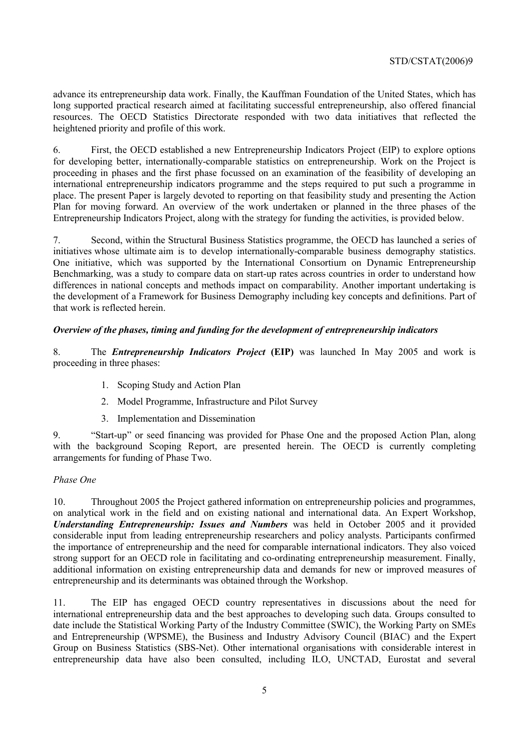advance its entrepreneurship data work. Finally, the Kauffman Foundation of the United States, which has long supported practical research aimed at facilitating successful entrepreneurship, also offered financial resources. The OECD Statistics Directorate responded with two data initiatives that reflected the heightened priority and profile of this work.

6. First, the OECD established a new Entrepreneurship Indicators Project (EIP) to explore options for developing better, internationally-comparable statistics on entrepreneurship. Work on the Project is proceeding in phases and the first phase focussed on an examination of the feasibility of developing an international entrepreneurship indicators programme and the steps required to put such a programme in place. The present Paper is largely devoted to reporting on that feasibility study and presenting the Action Plan for moving forward. An overview of the work undertaken or planned in the three phases of the Entrepreneurship Indicators Project, along with the strategy for funding the activities, is provided below.

7. Second, within the Structural Business Statistics programme, the OECD has launched a series of initiatives whose ultimate aim is to develop internationally-comparable business demography statistics. One initiative, which was supported by the International Consortium on Dynamic Entrepreneurship Benchmarking, was a study to compare data on start-up rates across countries in order to understand how differences in national concepts and methods impact on comparability. Another important undertaking is the development of a Framework for Business Demography including key concepts and definitions. Part of that work is reflected herein.

#### *Overview of the phases, timing and funding for the development of entrepreneurship indicators*

8. The *Entrepreneurship Indicators Project* **(EIP)** was launched In May 2005 and work is proceeding in three phases:

- 1. Scoping Study and Action Plan
- 2. Model Programme, Infrastructure and Pilot Survey
- 3. Implementation and Dissemination

9. <sup>"Start-up"</sup> or seed financing was provided for Phase One and the proposed Action Plan, along with the background Scoping Report, are presented herein. The OECD is currently completing arrangements for funding of Phase Two.

#### *Phase One*

10. Throughout 2005 the Project gathered information on entrepreneurship policies and programmes, on analytical work in the field and on existing national and international data. An Expert Workshop, *Understanding Entrepreneurship: Issues and Numbers* was held in October 2005 and it provided considerable input from leading entrepreneurship researchers and policy analysts. Participants confirmed the importance of entrepreneurship and the need for comparable international indicators. They also voiced strong support for an OECD role in facilitating and co-ordinating entrepreneurship measurement. Finally, additional information on existing entrepreneurship data and demands for new or improved measures of entrepreneurship and its determinants was obtained through the Workshop.

11. The EIP has engaged OECD country representatives in discussions about the need for international entrepreneurship data and the best approaches to developing such data. Groups consulted to date include the Statistical Working Party of the Industry Committee (SWIC), the Working Party on SMEs and Entrepreneurship (WPSME), the Business and Industry Advisory Council (BIAC) and the Expert Group on Business Statistics (SBS-Net). Other international organisations with considerable interest in entrepreneurship data have also been consulted, including ILO, UNCTAD, Eurostat and several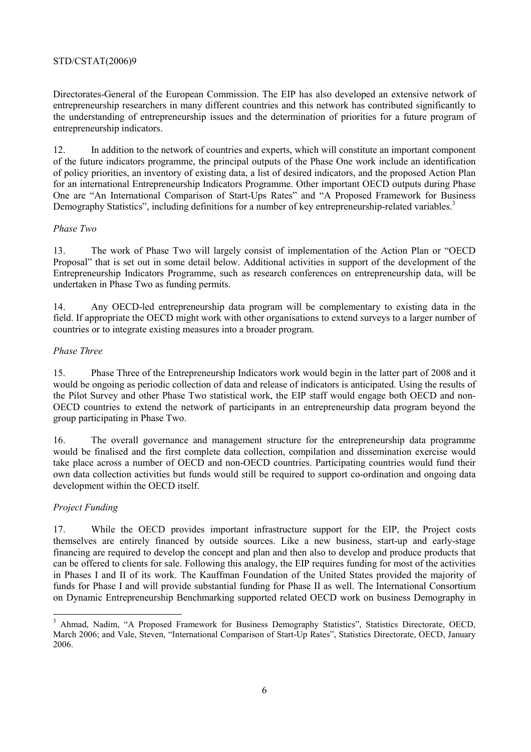Directorates-General of the European Commission. The EIP has also developed an extensive network of entrepreneurship researchers in many different countries and this network has contributed significantly to the understanding of entrepreneurship issues and the determination of priorities for a future program of entrepreneurship indicators.

12. In addition to the network of countries and experts, which will constitute an important component of the future indicators programme, the principal outputs of the Phase One work include an identification of policy priorities, an inventory of existing data, a list of desired indicators, and the proposed Action Plan for an international Entrepreneurship Indicators Programme. Other important OECD outputs during Phase One are "An International Comparison of Start-Ups Rates" and "A Proposed Framework for Business Demography Statistics", including definitions for a number of key entrepreneurship-related variables.<sup>3</sup>

# *Phase Two*

13. The work of Phase Two will largely consist of implementation of the Action Plan or "OECD" Proposal" that is set out in some detail below. Additional activities in support of the development of the Entrepreneurship Indicators Programme, such as research conferences on entrepreneurship data, will be undertaken in Phase Two as funding permits.

14. Any OECD-led entrepreneurship data program will be complementary to existing data in the field. If appropriate the OECD might work with other organisations to extend surveys to a larger number of countries or to integrate existing measures into a broader program.

# *Phase Three*

15. Phase Three of the Entrepreneurship Indicators work would begin in the latter part of 2008 and it would be ongoing as periodic collection of data and release of indicators is anticipated. Using the results of the Pilot Survey and other Phase Two statistical work, the EIP staff would engage both OECD and non-OECD countries to extend the network of participants in an entrepreneurship data program beyond the group participating in Phase Two.

16. The overall governance and management structure for the entrepreneurship data programme would be finalised and the first complete data collection, compilation and dissemination exercise would take place across a number of OECD and non-OECD countries. Participating countries would fund their own data collection activities but funds would still be required to support co-ordination and ongoing data development within the OECD itself.

# *Project Funding*

17. While the OECD provides important infrastructure support for the EIP, the Project costs themselves are entirely financed by outside sources. Like a new business, start-up and early-stage financing are required to develop the concept and plan and then also to develop and produce products that can be offered to clients for sale. Following this analogy, the EIP requires funding for most of the activities in Phases I and II of its work. The Kauffman Foundation of the United States provided the majority of funds for Phase I and will provide substantial funding for Phase II as well. The International Consortium on Dynamic Entrepreneurship Benchmarking supported related OECD work on business Demography in

<sup>&</sup>lt;sup>3</sup> Ahmad, Nadim, "A Proposed Framework for Business Demography Statistics", Statistics Directorate, OECD, March 2006; and Vale, Steven, "International Comparison of Start-Up Rates", Statistics Directorate, OECD, January 2006.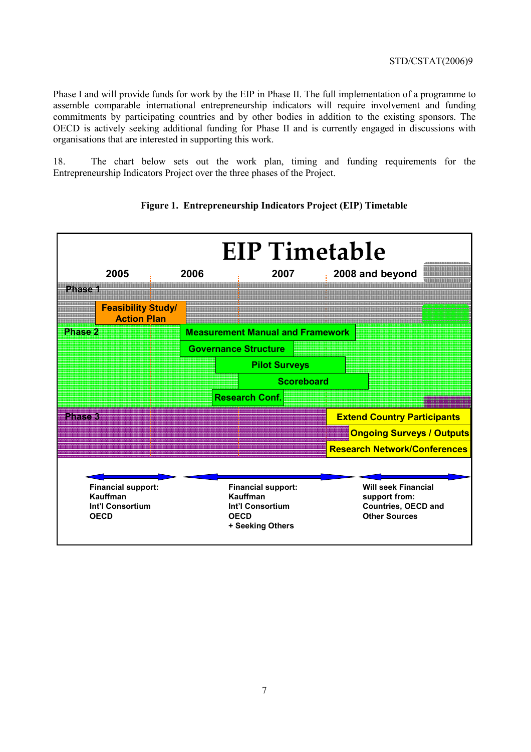Phase I and will provide funds for work by the EIP in Phase II. The full implementation of a programme to assemble comparable international entrepreneurship indicators will require involvement and funding commitments by participating countries and by other bodies in addition to the existing sponsors. The OECD is actively seeking additional funding for Phase II and is currently engaged in discussions with organisations that are interested in supporting this work.

18. The chart below sets out the work plan, timing and funding requirements for the Entrepreneurship Indicators Project over the three phases of the Project.



**Figure 1. Entrepreneurship Indicators Project (EIP) Timetable**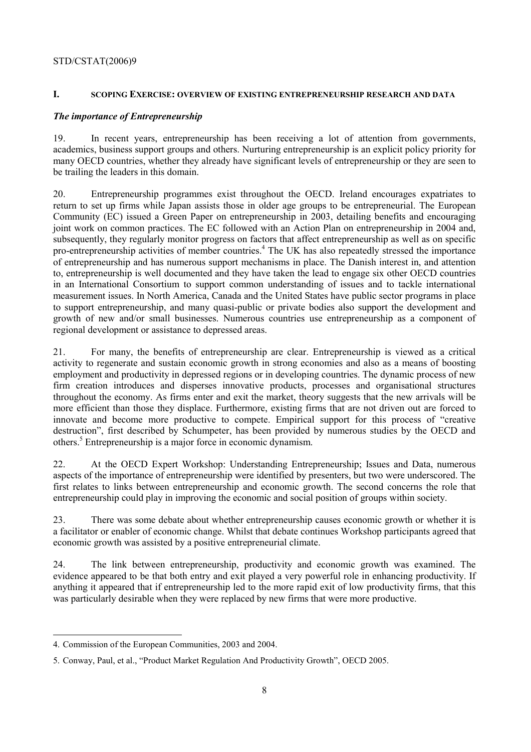# **I. SCOPING EXERCISE: OVERVIEW OF EXISTING ENTREPRENEURSHIP RESEARCH AND DATA**

# *The importance of Entrepreneurship*

19. In recent years, entrepreneurship has been receiving a lot of attention from governments, academics, business support groups and others. Nurturing entrepreneurship is an explicit policy priority for many OECD countries, whether they already have significant levels of entrepreneurship or they are seen to be trailing the leaders in this domain.

20. Entrepreneurship programmes exist throughout the OECD. Ireland encourages expatriates to return to set up firms while Japan assists those in older age groups to be entrepreneurial. The European Community (EC) issued a Green Paper on entrepreneurship in 2003, detailing benefits and encouraging joint work on common practices. The EC followed with an Action Plan on entrepreneurship in 2004 and, subsequently, they regularly monitor progress on factors that affect entrepreneurship as well as on specific pro-entrepreneurship activities of member countries.<sup>4</sup> The UK has also repeatedly stressed the importance of entrepreneurship and has numerous support mechanisms in place. The Danish interest in, and attention to, entrepreneurship is well documented and they have taken the lead to engage six other OECD countries in an International Consortium to support common understanding of issues and to tackle international measurement issues. In North America, Canada and the United States have public sector programs in place to support entrepreneurship, and many quasi-public or private bodies also support the development and growth of new and/or small businesses. Numerous countries use entrepreneurship as a component of regional development or assistance to depressed areas.

21. For many, the benefits of entrepreneurship are clear. Entrepreneurship is viewed as a critical activity to regenerate and sustain economic growth in strong economies and also as a means of boosting employment and productivity in depressed regions or in developing countries. The dynamic process of new firm creation introduces and disperses innovative products, processes and organisational structures throughout the economy. As firms enter and exit the market, theory suggests that the new arrivals will be more efficient than those they displace. Furthermore, existing firms that are not driven out are forced to innovate and become more productive to compete. Empirical support for this process of "creative" destruction", first described by Schumpeter, has been provided by numerous studies by the OECD and others.5 Entrepreneurship is a major force in economic dynamism.

22. At the OECD Expert Workshop: Understanding Entrepreneurship; Issues and Data, numerous aspects of the importance of entrepreneurship were identified by presenters, but two were underscored. The first relates to links between entrepreneurship and economic growth. The second concerns the role that entrepreneurship could play in improving the economic and social position of groups within society.

23. There was some debate about whether entrepreneurship causes economic growth or whether it is a facilitator or enabler of economic change. Whilst that debate continues Workshop participants agreed that economic growth was assisted by a positive entrepreneurial climate.

24. The link between entrepreneurship, productivity and economic growth was examined. The evidence appeared to be that both entry and exit played a very powerful role in enhancing productivity. If anything it appeared that if entrepreneurship led to the more rapid exit of low productivity firms, that this was particularly desirable when they were replaced by new firms that were more productive.

 $\overline{a}$ 4. Commission of the European Communities, 2003 and 2004.

<sup>5.</sup> Conway, Paul, et al., "Product Market Regulation And Productivity Growth", OECD 2005.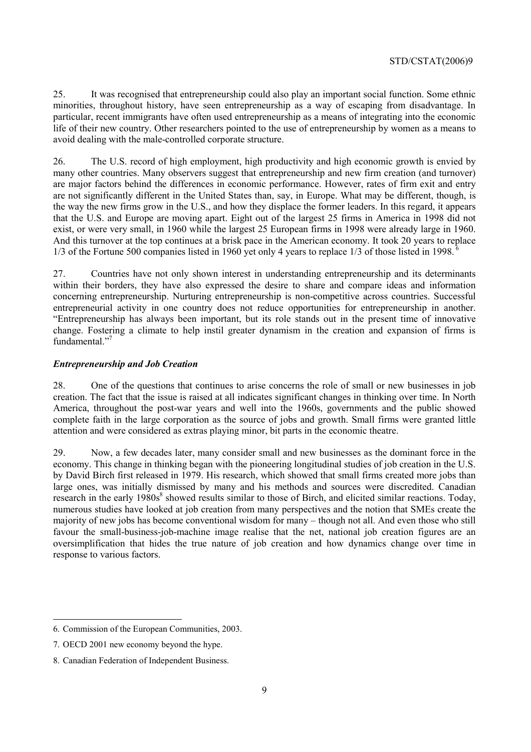25. It was recognised that entrepreneurship could also play an important social function. Some ethnic minorities, throughout history, have seen entrepreneurship as a way of escaping from disadvantage. In particular, recent immigrants have often used entrepreneurship as a means of integrating into the economic life of their new country. Other researchers pointed to the use of entrepreneurship by women as a means to avoid dealing with the male-controlled corporate structure.

26. The U.S. record of high employment, high productivity and high economic growth is envied by many other countries. Many observers suggest that entrepreneurship and new firm creation (and turnover) are major factors behind the differences in economic performance. However, rates of firm exit and entry are not significantly different in the United States than, say, in Europe. What may be different, though, is the way the new firms grow in the U.S., and how they displace the former leaders. In this regard, it appears that the U.S. and Europe are moving apart. Eight out of the largest 25 firms in America in 1998 did not exist, or were very small, in 1960 while the largest 25 European firms in 1998 were already large in 1960. And this turnover at the top continues at a brisk pace in the American economy. It took 20 years to replace 1/3 of the Fortune 500 companies listed in 1960 yet only 4 years to replace 1/3 of those listed in 1998.<sup>6</sup>

27. Countries have not only shown interest in understanding entrepreneurship and its determinants within their borders, they have also expressed the desire to share and compare ideas and information concerning entrepreneurship. Nurturing entrepreneurship is non-competitive across countries. Successful entrepreneurial activity in one country does not reduce opportunities for entrepreneurship in another. ìEntrepreneurship has always been important, but its role stands out in the present time of innovative change. Fostering a climate to help instil greater dynamism in the creation and expansion of firms is fundamental $\frac{1}{27}$ 

# *Entrepreneurship and Job Creation*

28. One of the questions that continues to arise concerns the role of small or new businesses in job creation. The fact that the issue is raised at all indicates significant changes in thinking over time. In North America, throughout the post-war years and well into the 1960s, governments and the public showed complete faith in the large corporation as the source of jobs and growth. Small firms were granted little attention and were considered as extras playing minor, bit parts in the economic theatre.

29. Now, a few decades later, many consider small and new businesses as the dominant force in the economy. This change in thinking began with the pioneering longitudinal studies of job creation in the U.S. by David Birch first released in 1979. His research, which showed that small firms created more jobs than large ones, was initially dismissed by many and his methods and sources were discredited. Canadian research in the early 1980s<sup>8</sup> showed results similar to those of Birch, and elicited similar reactions. Today, numerous studies have looked at job creation from many perspectives and the notion that SMEs create the majority of new jobs has become conventional wisdom for many – though not all. And even those who still favour the small-business-job-machine image realise that the net, national job creation figures are an oversimplification that hides the true nature of job creation and how dynamics change over time in response to various factors.

 $\overline{a}$ 

<sup>6.</sup> Commission of the European Communities, 2003.

<sup>7.</sup> OECD 2001 new economy beyond the hype.

<sup>8.</sup> Canadian Federation of Independent Business.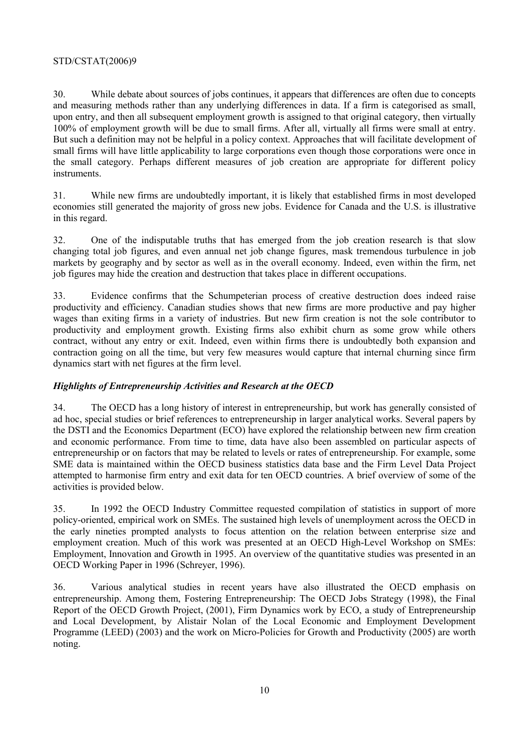30. While debate about sources of jobs continues, it appears that differences are often due to concepts and measuring methods rather than any underlying differences in data. If a firm is categorised as small, upon entry, and then all subsequent employment growth is assigned to that original category, then virtually 100% of employment growth will be due to small firms. After all, virtually all firms were small at entry. But such a definition may not be helpful in a policy context. Approaches that will facilitate development of small firms will have little applicability to large corporations even though those corporations were once in the small category. Perhaps different measures of job creation are appropriate for different policy **instruments** 

31. While new firms are undoubtedly important, it is likely that established firms in most developed economies still generated the majority of gross new jobs. Evidence for Canada and the U.S. is illustrative in this regard.

32. One of the indisputable truths that has emerged from the job creation research is that slow changing total job figures, and even annual net job change figures, mask tremendous turbulence in job markets by geography and by sector as well as in the overall economy. Indeed, even within the firm, net job figures may hide the creation and destruction that takes place in different occupations.

33. Evidence confirms that the Schumpeterian process of creative destruction does indeed raise productivity and efficiency. Canadian studies shows that new firms are more productive and pay higher wages than exiting firms in a variety of industries. But new firm creation is not the sole contributor to productivity and employment growth. Existing firms also exhibit churn as some grow while others contract, without any entry or exit. Indeed, even within firms there is undoubtedly both expansion and contraction going on all the time, but very few measures would capture that internal churning since firm dynamics start with net figures at the firm level.

#### *Highlights of Entrepreneurship Activities and Research at the OECD*

34. The OECD has a long history of interest in entrepreneurship, but work has generally consisted of ad hoc, special studies or brief references to entrepreneurship in larger analytical works. Several papers by the DSTI and the Economics Department (ECO) have explored the relationship between new firm creation and economic performance. From time to time, data have also been assembled on particular aspects of entrepreneurship or on factors that may be related to levels or rates of entrepreneurship. For example, some SME data is maintained within the OECD business statistics data base and the Firm Level Data Project attempted to harmonise firm entry and exit data for ten OECD countries. A brief overview of some of the activities is provided below.

35. In 1992 the OECD Industry Committee requested compilation of statistics in support of more policy-oriented, empirical work on SMEs. The sustained high levels of unemployment across the OECD in the early nineties prompted analysts to focus attention on the relation between enterprise size and employment creation. Much of this work was presented at an OECD High-Level Workshop on SMEs: Employment, Innovation and Growth in 1995. An overview of the quantitative studies was presented in an OECD Working Paper in 1996 (Schreyer, 1996).

36. Various analytical studies in recent years have also illustrated the OECD emphasis on entrepreneurship. Among them, Fostering Entrepreneurship: The OECD Jobs Strategy (1998), the Final Report of the OECD Growth Project, (2001), Firm Dynamics work by ECO, a study of Entrepreneurship and Local Development, by Alistair Nolan of the Local Economic and Employment Development Programme (LEED) (2003) and the work on Micro-Policies for Growth and Productivity (2005) are worth noting.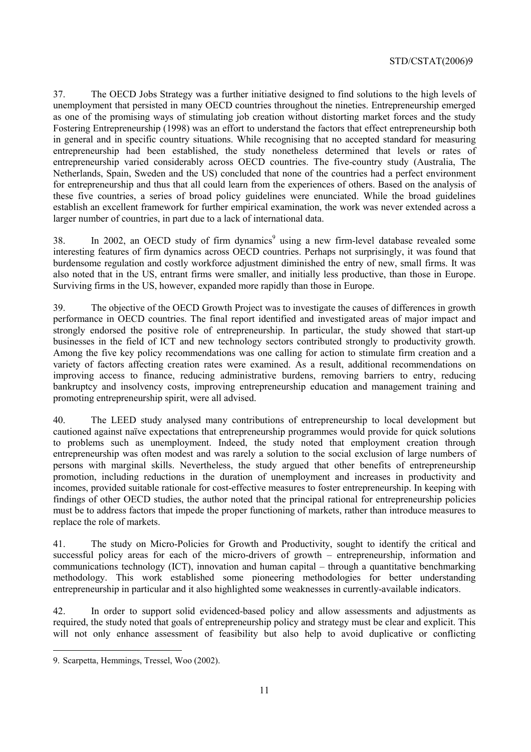37. The OECD Jobs Strategy was a further initiative designed to find solutions to the high levels of unemployment that persisted in many OECD countries throughout the nineties. Entrepreneurship emerged as one of the promising ways of stimulating job creation without distorting market forces and the study Fostering Entrepreneurship (1998) was an effort to understand the factors that effect entrepreneurship both in general and in specific country situations. While recognising that no accepted standard for measuring entrepreneurship had been established, the study nonetheless determined that levels or rates of entrepreneurship varied considerably across OECD countries. The five-country study (Australia, The Netherlands, Spain, Sweden and the US) concluded that none of the countries had a perfect environment for entrepreneurship and thus that all could learn from the experiences of others. Based on the analysis of these five countries, a series of broad policy guidelines were enunciated. While the broad guidelines establish an excellent framework for further empirical examination, the work was never extended across a larger number of countries, in part due to a lack of international data.

38. In 2002, an OECD study of firm dynamics<sup>9</sup> using a new firm-level database revealed some interesting features of firm dynamics across OECD countries. Perhaps not surprisingly, it was found that burdensome regulation and costly workforce adjustment diminished the entry of new, small firms. It was also noted that in the US, entrant firms were smaller, and initially less productive, than those in Europe. Surviving firms in the US, however, expanded more rapidly than those in Europe.

39. The objective of the OECD Growth Project was to investigate the causes of differences in growth performance in OECD countries. The final report identified and investigated areas of major impact and strongly endorsed the positive role of entrepreneurship. In particular, the study showed that start-up businesses in the field of ICT and new technology sectors contributed strongly to productivity growth. Among the five key policy recommendations was one calling for action to stimulate firm creation and a variety of factors affecting creation rates were examined. As a result, additional recommendations on improving access to finance, reducing administrative burdens, removing barriers to entry, reducing bankruptcy and insolvency costs, improving entrepreneurship education and management training and promoting entrepreneurship spirit, were all advised.

40. The LEED study analysed many contributions of entrepreneurship to local development but cautioned against naïve expectations that entrepreneurship programmes would provide for quick solutions to problems such as unemployment. Indeed, the study noted that employment creation through entrepreneurship was often modest and was rarely a solution to the social exclusion of large numbers of persons with marginal skills. Nevertheless, the study argued that other benefits of entrepreneurship promotion, including reductions in the duration of unemployment and increases in productivity and incomes, provided suitable rationale for cost-effective measures to foster entrepreneurship. In keeping with findings of other OECD studies, the author noted that the principal rational for entrepreneurship policies must be to address factors that impede the proper functioning of markets, rather than introduce measures to replace the role of markets.

41. The study on Micro-Policies for Growth and Productivity, sought to identify the critical and successful policy areas for each of the micro-drivers of growth  $-$  entrepreneurship, information and communications technology (ICT), innovation and human capital  $-$  through a quantitative benchmarking methodology. This work established some pioneering methodologies for better understanding entrepreneurship in particular and it also highlighted some weaknesses in currently-available indicators.

42. In order to support solid evidenced-based policy and allow assessments and adjustments as required, the study noted that goals of entrepreneurship policy and strategy must be clear and explicit. This will not only enhance assessment of feasibility but also help to avoid duplicative or conflicting

<sup>9.</sup> Scarpetta, Hemmings, Tressel, Woo (2002).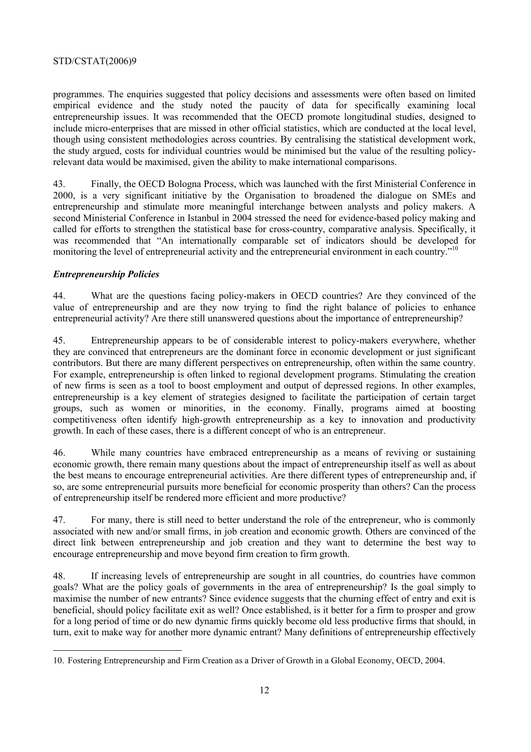programmes. The enquiries suggested that policy decisions and assessments were often based on limited empirical evidence and the study noted the paucity of data for specifically examining local entrepreneurship issues. It was recommended that the OECD promote longitudinal studies, designed to include micro-enterprises that are missed in other official statistics, which are conducted at the local level, though using consistent methodologies across countries. By centralising the statistical development work, the study argued, costs for individual countries would be minimised but the value of the resulting policyrelevant data would be maximised, given the ability to make international comparisons.

43. Finally, the OECD Bologna Process, which was launched with the first Ministerial Conference in 2000, is a very significant initiative by the Organisation to broadened the dialogue on SMEs and entrepreneurship and stimulate more meaningful interchange between analysts and policy makers. A second Ministerial Conference in Istanbul in 2004 stressed the need for evidence-based policy making and called for efforts to strengthen the statistical base for cross-country, comparative analysis. Specifically, it was recommended that "An internationally comparable set of indicators should be developed for monitoring the level of entrepreneurial activity and the entrepreneurial environment in each country.<sup>710</sup>

# *Entrepreneurship Policies*

44. What are the questions facing policy-makers in OECD countries? Are they convinced of the value of entrepreneurship and are they now trying to find the right balance of policies to enhance entrepreneurial activity? Are there still unanswered questions about the importance of entrepreneurship?

45. Entrepreneurship appears to be of considerable interest to policy-makers everywhere, whether they are convinced that entrepreneurs are the dominant force in economic development or just significant contributors. But there are many different perspectives on entrepreneurship, often within the same country. For example, entrepreneurship is often linked to regional development programs. Stimulating the creation of new firms is seen as a tool to boost employment and output of depressed regions. In other examples, entrepreneurship is a key element of strategies designed to facilitate the participation of certain target groups, such as women or minorities, in the economy. Finally, programs aimed at boosting competitiveness often identify high-growth entrepreneurship as a key to innovation and productivity growth. In each of these cases, there is a different concept of who is an entrepreneur.

46. While many countries have embraced entrepreneurship as a means of reviving or sustaining economic growth, there remain many questions about the impact of entrepreneurship itself as well as about the best means to encourage entrepreneurial activities. Are there different types of entrepreneurship and, if so, are some entrepreneurial pursuits more beneficial for economic prosperity than others? Can the process of entrepreneurship itself be rendered more efficient and more productive?

47. For many, there is still need to better understand the role of the entrepreneur, who is commonly associated with new and/or small firms, in job creation and economic growth. Others are convinced of the direct link between entrepreneurship and job creation and they want to determine the best way to encourage entrepreneurship and move beyond firm creation to firm growth.

48. If increasing levels of entrepreneurship are sought in all countries, do countries have common goals? What are the policy goals of governments in the area of entrepreneurship? Is the goal simply to maximise the number of new entrants? Since evidence suggests that the churning effect of entry and exit is beneficial, should policy facilitate exit as well? Once established, is it better for a firm to prosper and grow for a long period of time or do new dynamic firms quickly become old less productive firms that should, in turn, exit to make way for another more dynamic entrant? Many definitions of entrepreneurship effectively

<sup>10.</sup> Fostering Entrepreneurship and Firm Creation as a Driver of Growth in a Global Economy, OECD, 2004.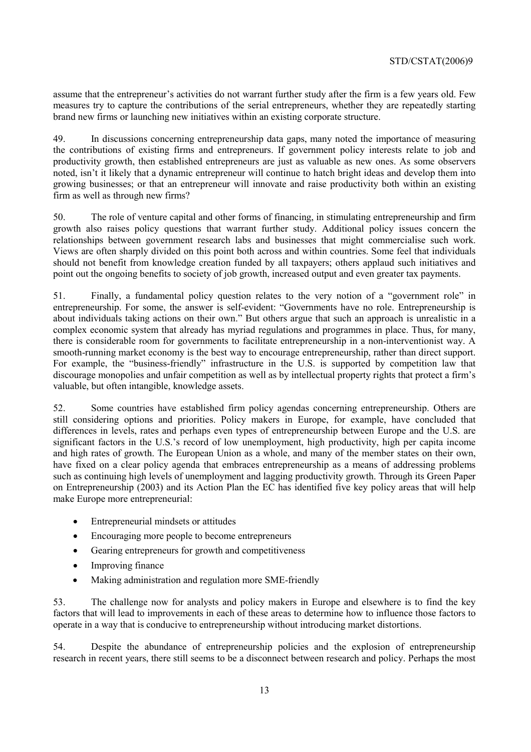assume that the entrepreneur's activities do not warrant further study after the firm is a few years old. Few measures try to capture the contributions of the serial entrepreneurs, whether they are repeatedly starting brand new firms or launching new initiatives within an existing corporate structure.

49. In discussions concerning entrepreneurship data gaps, many noted the importance of measuring the contributions of existing firms and entrepreneurs. If government policy interests relate to job and productivity growth, then established entrepreneurs are just as valuable as new ones. As some observers noted, isn't it likely that a dynamic entrepreneur will continue to hatch bright ideas and develop them into growing businesses; or that an entrepreneur will innovate and raise productivity both within an existing firm as well as through new firms?

50. The role of venture capital and other forms of financing, in stimulating entrepreneurship and firm growth also raises policy questions that warrant further study. Additional policy issues concern the relationships between government research labs and businesses that might commercialise such work. Views are often sharply divided on this point both across and within countries. Some feel that individuals should not benefit from knowledge creation funded by all taxpayers; others applaud such initiatives and point out the ongoing benefits to society of job growth, increased output and even greater tax payments.

51. Finally, a fundamental policy question relates to the very notion of a "government role" in entrepreneurship. For some, the answer is self-evident: "Governments have no role. Entrepreneurship is about individuals taking actions on their own." But others argue that such an approach is unrealistic in a complex economic system that already has myriad regulations and programmes in place. Thus, for many, there is considerable room for governments to facilitate entrepreneurship in a non-interventionist way. A smooth-running market economy is the best way to encourage entrepreneurship, rather than direct support. For example, the "business-friendly" infrastructure in the U.S. is supported by competition law that discourage monopolies and unfair competition as well as by intellectual property rights that protect a firm's valuable, but often intangible, knowledge assets.

52. Some countries have established firm policy agendas concerning entrepreneurship. Others are still considering options and priorities. Policy makers in Europe, for example, have concluded that differences in levels, rates and perhaps even types of entrepreneurship between Europe and the U.S. are significant factors in the U.S.'s record of low unemployment, high productivity, high per capita income and high rates of growth. The European Union as a whole, and many of the member states on their own, have fixed on a clear policy agenda that embraces entrepreneurship as a means of addressing problems such as continuing high levels of unemployment and lagging productivity growth. Through its Green Paper on Entrepreneurship (2003) and its Action Plan the EC has identified five key policy areas that will help make Europe more entrepreneurial:

- Entrepreneurial mindsets or attitudes
- Encouraging more people to become entrepreneurs
- Gearing entrepreneurs for growth and competitiveness
- Improving finance
- Making administration and regulation more SME-friendly

53. The challenge now for analysts and policy makers in Europe and elsewhere is to find the key factors that will lead to improvements in each of these areas to determine how to influence those factors to operate in a way that is conducive to entrepreneurship without introducing market distortions.

54. Despite the abundance of entrepreneurship policies and the explosion of entrepreneurship research in recent years, there still seems to be a disconnect between research and policy. Perhaps the most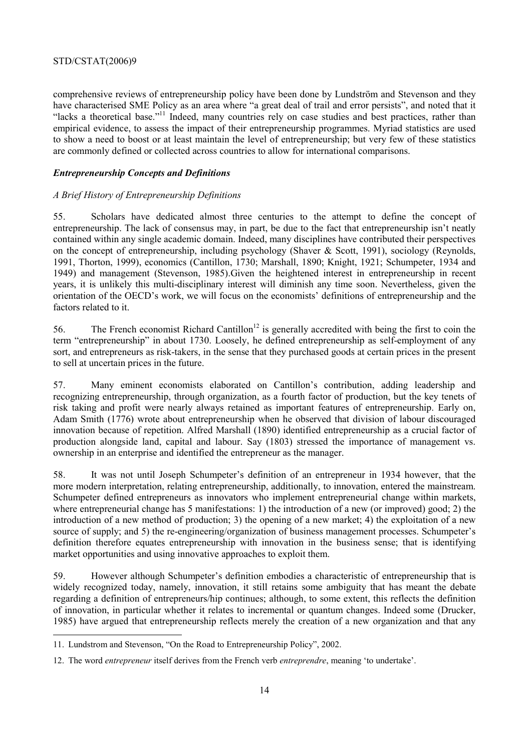comprehensive reviews of entrepreneurship policy have been done by Lundström and Stevenson and they have characterised SME Policy as an area where "a great deal of trail and error persists", and noted that it "lacks a theoretical base."<sup>11</sup> Indeed, many countries rely on case studies and best practices, rather than empirical evidence, to assess the impact of their entrepreneurship programmes. Myriad statistics are used to show a need to boost or at least maintain the level of entrepreneurship; but very few of these statistics are commonly defined or collected across countries to allow for international comparisons.

# *Entrepreneurship Concepts and Definitions*

# *A Brief History of Entrepreneurship Definitions*

55. Scholars have dedicated almost three centuries to the attempt to define the concept of entrepreneurship. The lack of consensus may, in part, be due to the fact that entrepreneurship isn't neatly contained within any single academic domain. Indeed, many disciplines have contributed their perspectives on the concept of entrepreneurship, including psychology (Shaver & Scott, 1991), sociology (Reynolds, 1991, Thorton, 1999), economics (Cantillon, 1730; Marshall, 1890; Knight, 1921; Schumpeter, 1934 and 1949) and management (Stevenson, 1985).Given the heightened interest in entrepreneurship in recent years, it is unlikely this multi-disciplinary interest will diminish any time soon. Nevertheless, given the orientation of the OECD's work, we will focus on the economists' definitions of entrepreneurship and the factors related to it.

56. The French economist Richard Cantillon<sup>12</sup> is generally accredited with being the first to coin the term "entrepreneurship" in about 1730. Loosely, he defined entrepreneurship as self-employment of any sort, and entrepreneurs as risk-takers, in the sense that they purchased goods at certain prices in the present to sell at uncertain prices in the future.

57. Many eminent economists elaborated on Cantillon's contribution, adding leadership and recognizing entrepreneurship, through organization, as a fourth factor of production, but the key tenets of risk taking and profit were nearly always retained as important features of entrepreneurship. Early on, Adam Smith (1776) wrote about entrepreneurship when he observed that division of labour discouraged innovation because of repetition. Alfred Marshall (1890) identified entrepreneurship as a crucial factor of production alongside land, capital and labour. Say (1803) stressed the importance of management vs. ownership in an enterprise and identified the entrepreneur as the manager.

58. It was not until Joseph Schumpeterís definition of an entrepreneur in 1934 however, that the more modern interpretation, relating entrepreneurship, additionally, to innovation, entered the mainstream. Schumpeter defined entrepreneurs as innovators who implement entrepreneurial change within markets, where entrepreneurial change has 5 manifestations: 1) the introduction of a new (or improved) good; 2) the introduction of a new method of production; 3) the opening of a new market; 4) the exploitation of a new source of supply; and 5) the re-engineering/organization of business management processes. Schumpeter's definition therefore equates entrepreneurship with innovation in the business sense; that is identifying market opportunities and using innovative approaches to exploit them.

59. However although Schumpeterís definition embodies a characteristic of entrepreneurship that is widely recognized today, namely, innovation, it still retains some ambiguity that has meant the debate regarding a definition of entrepreneurs/hip continues; although, to some extent, this reflects the definition of innovation, in particular whether it relates to incremental or quantum changes. Indeed some (Drucker, 1985) have argued that entrepreneurship reflects merely the creation of a new organization and that any

 $\overline{a}$ 

<sup>11.</sup> Lundstrom and Stevenson, "On the Road to Entrepreneurship Policy", 2002.

<sup>12.</sup> The word *entrepreneur* itself derives from the French verb *entreprendre*, meaning ëto undertakeí.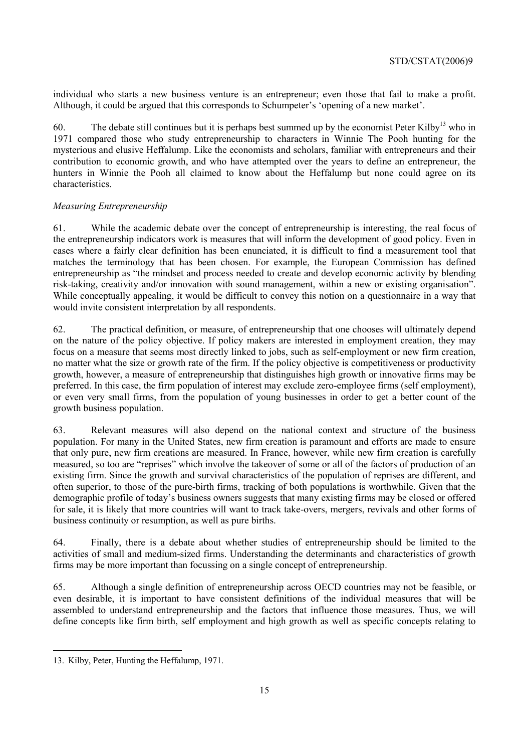individual who starts a new business venture is an entrepreneur; even those that fail to make a profit. Although, it could be argued that this corresponds to Schumpeter's 'opening of a new market'.

60. The debate still continues but it is perhaps best summed up by the economist Peter Kilby<sup>13</sup> who in 1971 compared those who study entrepreneurship to characters in Winnie The Pooh hunting for the mysterious and elusive Heffalump. Like the economists and scholars, familiar with entrepreneurs and their contribution to economic growth, and who have attempted over the years to define an entrepreneur, the hunters in Winnie the Pooh all claimed to know about the Heffalump but none could agree on its characteristics.

# *Measuring Entrepreneurship*

61. While the academic debate over the concept of entrepreneurship is interesting, the real focus of the entrepreneurship indicators work is measures that will inform the development of good policy. Even in cases where a fairly clear definition has been enunciated, it is difficult to find a measurement tool that matches the terminology that has been chosen. For example, the European Commission has defined entrepreneurship as "the mindset and process needed to create and develop economic activity by blending risk-taking, creativity and/or innovation with sound management, within a new or existing organisationî. While conceptually appealing, it would be difficult to convey this notion on a questionnaire in a way that would invite consistent interpretation by all respondents.

62. The practical definition, or measure, of entrepreneurship that one chooses will ultimately depend on the nature of the policy objective. If policy makers are interested in employment creation, they may focus on a measure that seems most directly linked to jobs, such as self-employment or new firm creation, no matter what the size or growth rate of the firm. If the policy objective is competitiveness or productivity growth, however, a measure of entrepreneurship that distinguishes high growth or innovative firms may be preferred. In this case, the firm population of interest may exclude zero-employee firms (self employment), or even very small firms, from the population of young businesses in order to get a better count of the growth business population.

63. Relevant measures will also depend on the national context and structure of the business population. For many in the United States, new firm creation is paramount and efforts are made to ensure that only pure, new firm creations are measured. In France, however, while new firm creation is carefully measured, so too are "reprises" which involve the takeover of some or all of the factors of production of an existing firm. Since the growth and survival characteristics of the population of reprises are different, and often superior, to those of the pure-birth firms, tracking of both populations is worthwhile. Given that the demographic profile of today's business owners suggests that many existing firms may be closed or offered for sale, it is likely that more countries will want to track take-overs, mergers, revivals and other forms of business continuity or resumption, as well as pure births.

64. Finally, there is a debate about whether studies of entrepreneurship should be limited to the activities of small and medium-sized firms. Understanding the determinants and characteristics of growth firms may be more important than focussing on a single concept of entrepreneurship.

65. Although a single definition of entrepreneurship across OECD countries may not be feasible, or even desirable, it is important to have consistent definitions of the individual measures that will be assembled to understand entrepreneurship and the factors that influence those measures. Thus, we will define concepts like firm birth, self employment and high growth as well as specific concepts relating to

<sup>13.</sup> Kilby, Peter, Hunting the Heffalump, 1971.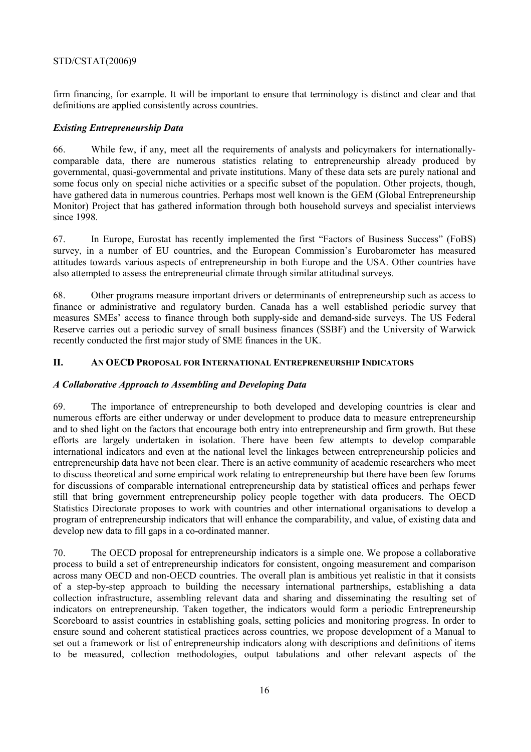firm financing, for example. It will be important to ensure that terminology is distinct and clear and that definitions are applied consistently across countries.

## *Existing Entrepreneurship Data*

66. While few, if any, meet all the requirements of analysts and policymakers for internationallycomparable data, there are numerous statistics relating to entrepreneurship already produced by governmental, quasi-governmental and private institutions. Many of these data sets are purely national and some focus only on special niche activities or a specific subset of the population. Other projects, though, have gathered data in numerous countries. Perhaps most well known is the GEM (Global Entrepreneurship Monitor) Project that has gathered information through both household surveys and specialist interviews since 1998.

67. In Europe, Eurostat has recently implemented the first "Factors of Business Success" (FoBS) survey, in a number of EU countries, and the European Commission's Eurobarometer has measured attitudes towards various aspects of entrepreneurship in both Europe and the USA. Other countries have also attempted to assess the entrepreneurial climate through similar attitudinal surveys.

68. Other programs measure important drivers or determinants of entrepreneurship such as access to finance or administrative and regulatory burden. Canada has a well established periodic survey that measures SMEs' access to finance through both supply-side and demand-side surveys. The US Federal Reserve carries out a periodic survey of small business finances (SSBF) and the University of Warwick recently conducted the first major study of SME finances in the UK.

# **II. AN OECD PROPOSAL FOR INTERNATIONAL ENTREPRENEURSHIP INDICATORS**

#### *A Collaborative Approach to Assembling and Developing Data*

69. The importance of entrepreneurship to both developed and developing countries is clear and numerous efforts are either underway or under development to produce data to measure entrepreneurship and to shed light on the factors that encourage both entry into entrepreneurship and firm growth. But these efforts are largely undertaken in isolation. There have been few attempts to develop comparable international indicators and even at the national level the linkages between entrepreneurship policies and entrepreneurship data have not been clear. There is an active community of academic researchers who meet to discuss theoretical and some empirical work relating to entrepreneurship but there have been few forums for discussions of comparable international entrepreneurship data by statistical offices and perhaps fewer still that bring government entrepreneurship policy people together with data producers. The OECD Statistics Directorate proposes to work with countries and other international organisations to develop a program of entrepreneurship indicators that will enhance the comparability, and value, of existing data and develop new data to fill gaps in a co-ordinated manner.

70. The OECD proposal for entrepreneurship indicators is a simple one. We propose a collaborative process to build a set of entrepreneurship indicators for consistent, ongoing measurement and comparison across many OECD and non-OECD countries. The overall plan is ambitious yet realistic in that it consists of a step-by-step approach to building the necessary international partnerships, establishing a data collection infrastructure, assembling relevant data and sharing and disseminating the resulting set of indicators on entrepreneurship. Taken together, the indicators would form a periodic Entrepreneurship Scoreboard to assist countries in establishing goals, setting policies and monitoring progress. In order to ensure sound and coherent statistical practices across countries, we propose development of a Manual to set out a framework or list of entrepreneurship indicators along with descriptions and definitions of items to be measured, collection methodologies, output tabulations and other relevant aspects of the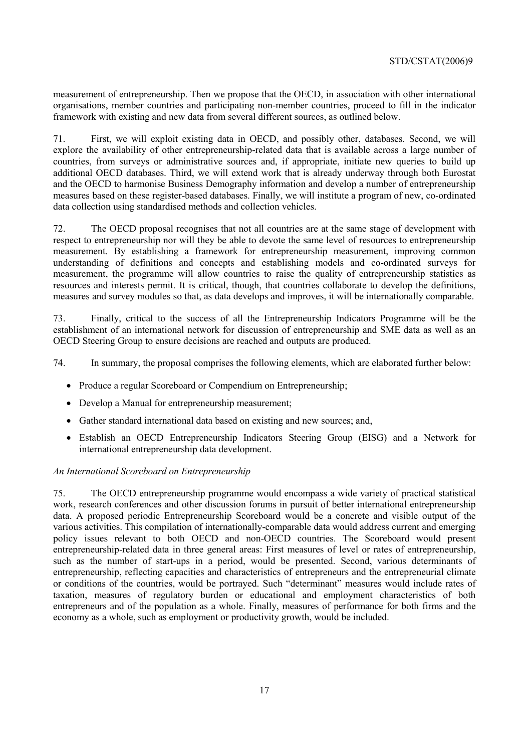measurement of entrepreneurship. Then we propose that the OECD, in association with other international organisations, member countries and participating non-member countries, proceed to fill in the indicator framework with existing and new data from several different sources, as outlined below.

71. First, we will exploit existing data in OECD, and possibly other, databases. Second, we will explore the availability of other entrepreneurship-related data that is available across a large number of countries, from surveys or administrative sources and, if appropriate, initiate new queries to build up additional OECD databases. Third, we will extend work that is already underway through both Eurostat and the OECD to harmonise Business Demography information and develop a number of entrepreneurship measures based on these register-based databases. Finally, we will institute a program of new, co-ordinated data collection using standardised methods and collection vehicles.

72. The OECD proposal recognises that not all countries are at the same stage of development with respect to entrepreneurship nor will they be able to devote the same level of resources to entrepreneurship measurement. By establishing a framework for entrepreneurship measurement, improving common understanding of definitions and concepts and establishing models and co-ordinated surveys for measurement, the programme will allow countries to raise the quality of entrepreneurship statistics as resources and interests permit. It is critical, though, that countries collaborate to develop the definitions, measures and survey modules so that, as data develops and improves, it will be internationally comparable.

73. Finally, critical to the success of all the Entrepreneurship Indicators Programme will be the establishment of an international network for discussion of entrepreneurship and SME data as well as an OECD Steering Group to ensure decisions are reached and outputs are produced.

74. In summary, the proposal comprises the following elements, which are elaborated further below:

- Produce a regular Scoreboard or Compendium on Entrepreneurship;
- Develop a Manual for entrepreneurship measurement;
- Gather standard international data based on existing and new sources; and,
- Establish an OECD Entrepreneurship Indicators Steering Group (EISG) and a Network for international entrepreneurship data development.

#### *An International Scoreboard on Entrepreneurship*

75. The OECD entrepreneurship programme would encompass a wide variety of practical statistical work, research conferences and other discussion forums in pursuit of better international entrepreneurship data. A proposed periodic Entrepreneurship Scoreboard would be a concrete and visible output of the various activities. This compilation of internationally-comparable data would address current and emerging policy issues relevant to both OECD and non-OECD countries. The Scoreboard would present entrepreneurship-related data in three general areas: First measures of level or rates of entrepreneurship, such as the number of start-ups in a period, would be presented. Second, various determinants of entrepreneurship, reflecting capacities and characteristics of entrepreneurs and the entrepreneurial climate or conditions of the countries, would be portrayed. Such "determinant" measures would include rates of taxation, measures of regulatory burden or educational and employment characteristics of both entrepreneurs and of the population as a whole. Finally, measures of performance for both firms and the economy as a whole, such as employment or productivity growth, would be included.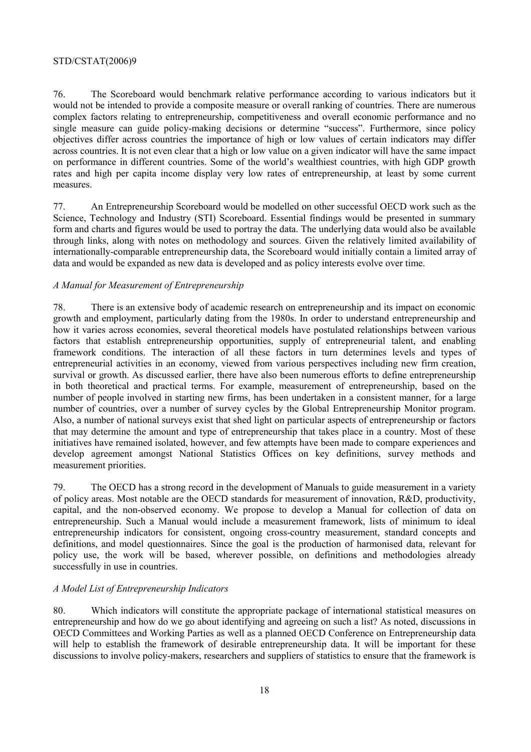76. The Scoreboard would benchmark relative performance according to various indicators but it would not be intended to provide a composite measure or overall ranking of countries. There are numerous complex factors relating to entrepreneurship, competitiveness and overall economic performance and no single measure can guide policy-making decisions or determine "success". Furthermore, since policy objectives differ across countries the importance of high or low values of certain indicators may differ across countries. It is not even clear that a high or low value on a given indicator will have the same impact on performance in different countries. Some of the world's wealthiest countries, with high GDP growth rates and high per capita income display very low rates of entrepreneurship, at least by some current measures.

77. An Entrepreneurship Scoreboard would be modelled on other successful OECD work such as the Science, Technology and Industry (STI) Scoreboard. Essential findings would be presented in summary form and charts and figures would be used to portray the data. The underlying data would also be available through links, along with notes on methodology and sources. Given the relatively limited availability of internationally-comparable entrepreneurship data, the Scoreboard would initially contain a limited array of data and would be expanded as new data is developed and as policy interests evolve over time.

# *A Manual for Measurement of Entrepreneurship*

78. There is an extensive body of academic research on entrepreneurship and its impact on economic growth and employment, particularly dating from the 1980s. In order to understand entrepreneurship and how it varies across economies, several theoretical models have postulated relationships between various factors that establish entrepreneurship opportunities, supply of entrepreneurial talent, and enabling framework conditions. The interaction of all these factors in turn determines levels and types of entrepreneurial activities in an economy, viewed from various perspectives including new firm creation, survival or growth. As discussed earlier, there have also been numerous efforts to define entrepreneurship in both theoretical and practical terms. For example, measurement of entrepreneurship, based on the number of people involved in starting new firms, has been undertaken in a consistent manner, for a large number of countries, over a number of survey cycles by the Global Entrepreneurship Monitor program. Also, a number of national surveys exist that shed light on particular aspects of entrepreneurship or factors that may determine the amount and type of entrepreneurship that takes place in a country. Most of these initiatives have remained isolated, however, and few attempts have been made to compare experiences and develop agreement amongst National Statistics Offices on key definitions, survey methods and measurement priorities.

79. The OECD has a strong record in the development of Manuals to guide measurement in a variety of policy areas. Most notable are the OECD standards for measurement of innovation, R&D, productivity, capital, and the non-observed economy. We propose to develop a Manual for collection of data on entrepreneurship. Such a Manual would include a measurement framework, lists of minimum to ideal entrepreneurship indicators for consistent, ongoing cross-country measurement, standard concepts and definitions, and model questionnaires. Since the goal is the production of harmonised data, relevant for policy use, the work will be based, wherever possible, on definitions and methodologies already successfully in use in countries.

#### *A Model List of Entrepreneurship Indicators*

80. Which indicators will constitute the appropriate package of international statistical measures on entrepreneurship and how do we go about identifying and agreeing on such a list? As noted, discussions in OECD Committees and Working Parties as well as a planned OECD Conference on Entrepreneurship data will help to establish the framework of desirable entrepreneurship data. It will be important for these discussions to involve policy-makers, researchers and suppliers of statistics to ensure that the framework is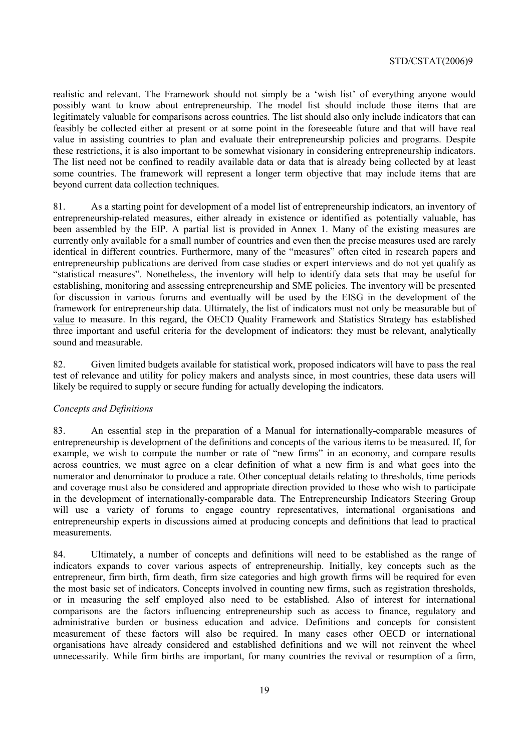realistic and relevant. The Framework should not simply be a 'wish list' of everything anyone would possibly want to know about entrepreneurship. The model list should include those items that are legitimately valuable for comparisons across countries. The list should also only include indicators that can feasibly be collected either at present or at some point in the foreseeable future and that will have real value in assisting countries to plan and evaluate their entrepreneurship policies and programs. Despite these restrictions, it is also important to be somewhat visionary in considering entrepreneurship indicators. The list need not be confined to readily available data or data that is already being collected by at least some countries. The framework will represent a longer term objective that may include items that are beyond current data collection techniques.

81. As a starting point for development of a model list of entrepreneurship indicators, an inventory of entrepreneurship-related measures, either already in existence or identified as potentially valuable, has been assembled by the EIP. A partial list is provided in Annex 1. Many of the existing measures are currently only available for a small number of countries and even then the precise measures used are rarely identical in different countries. Furthermore, many of the "measures" often cited in research papers and entrepreneurship publications are derived from case studies or expert interviews and do not yet qualify as ìstatistical measuresî. Nonetheless, the inventory will help to identify data sets that may be useful for establishing, monitoring and assessing entrepreneurship and SME policies. The inventory will be presented for discussion in various forums and eventually will be used by the EISG in the development of the framework for entrepreneurship data. Ultimately, the list of indicators must not only be measurable but of value to measure. In this regard, the OECD Quality Framework and Statistics Strategy has established three important and useful criteria for the development of indicators: they must be relevant, analytically sound and measurable.

82. Given limited budgets available for statistical work, proposed indicators will have to pass the real test of relevance and utility for policy makers and analysts since, in most countries, these data users will likely be required to supply or secure funding for actually developing the indicators.

#### *Concepts and Definitions*

83. An essential step in the preparation of a Manual for internationally-comparable measures of entrepreneurship is development of the definitions and concepts of the various items to be measured. If, for example, we wish to compute the number or rate of "new firms" in an economy, and compare results across countries, we must agree on a clear definition of what a new firm is and what goes into the numerator and denominator to produce a rate. Other conceptual details relating to thresholds, time periods and coverage must also be considered and appropriate direction provided to those who wish to participate in the development of internationally-comparable data. The Entrepreneurship Indicators Steering Group will use a variety of forums to engage country representatives, international organisations and entrepreneurship experts in discussions aimed at producing concepts and definitions that lead to practical measurements.

84. Ultimately, a number of concepts and definitions will need to be established as the range of indicators expands to cover various aspects of entrepreneurship. Initially, key concepts such as the entrepreneur, firm birth, firm death, firm size categories and high growth firms will be required for even the most basic set of indicators. Concepts involved in counting new firms, such as registration thresholds, or in measuring the self employed also need to be established. Also of interest for international comparisons are the factors influencing entrepreneurship such as access to finance, regulatory and administrative burden or business education and advice. Definitions and concepts for consistent measurement of these factors will also be required. In many cases other OECD or international organisations have already considered and established definitions and we will not reinvent the wheel unnecessarily. While firm births are important, for many countries the revival or resumption of a firm,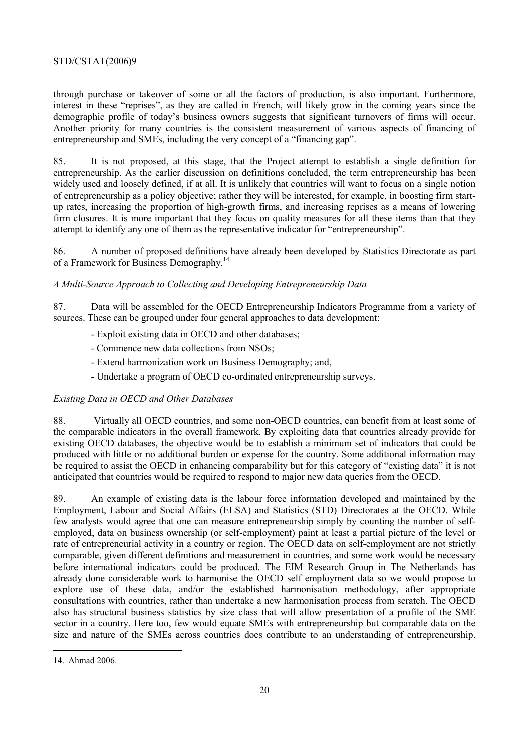through purchase or takeover of some or all the factors of production, is also important. Furthermore, interest in these "reprises", as they are called in French, will likely grow in the coming years since the demographic profile of today's business owners suggests that significant turnovers of firms will occur. Another priority for many countries is the consistent measurement of various aspects of financing of entrepreneurship and SMEs, including the very concept of a "financing gap".

85. It is not proposed, at this stage, that the Project attempt to establish a single definition for entrepreneurship. As the earlier discussion on definitions concluded, the term entrepreneurship has been widely used and loosely defined, if at all. It is unlikely that countries will want to focus on a single notion of entrepreneurship as a policy objective; rather they will be interested, for example, in boosting firm startup rates, increasing the proportion of high-growth firms, and increasing reprises as a means of lowering firm closures. It is more important that they focus on quality measures for all these items than that they attempt to identify any one of them as the representative indicator for "entrepreneurship".

86. A number of proposed definitions have already been developed by Statistics Directorate as part of a Framework for Business Demography.14

#### *A Multi-Source Approach to Collecting and Developing Entrepreneurship Data*

87. Data will be assembled for the OECD Entrepreneurship Indicators Programme from a variety of sources. These can be grouped under four general approaches to data development:

- Exploit existing data in OECD and other databases;
- Commence new data collections from NSOs;
- Extend harmonization work on Business Demography; and,
- Undertake a program of OECD co-ordinated entrepreneurship surveys.

#### *Existing Data in OECD and Other Databases*

88. Virtually all OECD countries, and some non-OECD countries, can benefit from at least some of the comparable indicators in the overall framework. By exploiting data that countries already provide for existing OECD databases, the objective would be to establish a minimum set of indicators that could be produced with little or no additional burden or expense for the country. Some additional information may be required to assist the OECD in enhancing comparability but for this category of "existing data" it is not anticipated that countries would be required to respond to major new data queries from the OECD.

89. An example of existing data is the labour force information developed and maintained by the Employment, Labour and Social Affairs (ELSA) and Statistics (STD) Directorates at the OECD. While few analysts would agree that one can measure entrepreneurship simply by counting the number of selfemployed, data on business ownership (or self-employment) paint at least a partial picture of the level or rate of entrepreneurial activity in a country or region. The OECD data on self-employment are not strictly comparable, given different definitions and measurement in countries, and some work would be necessary before international indicators could be produced. The EIM Research Group in The Netherlands has already done considerable work to harmonise the OECD self employment data so we would propose to explore use of these data, and/or the established harmonisation methodology, after appropriate consultations with countries, rather than undertake a new harmonisation process from scratch. The OECD also has structural business statistics by size class that will allow presentation of a profile of the SME sector in a country. Here too, few would equate SMEs with entrepreneurship but comparable data on the size and nature of the SMEs across countries does contribute to an understanding of entrepreneurship.

<sup>14.</sup> Ahmad 2006.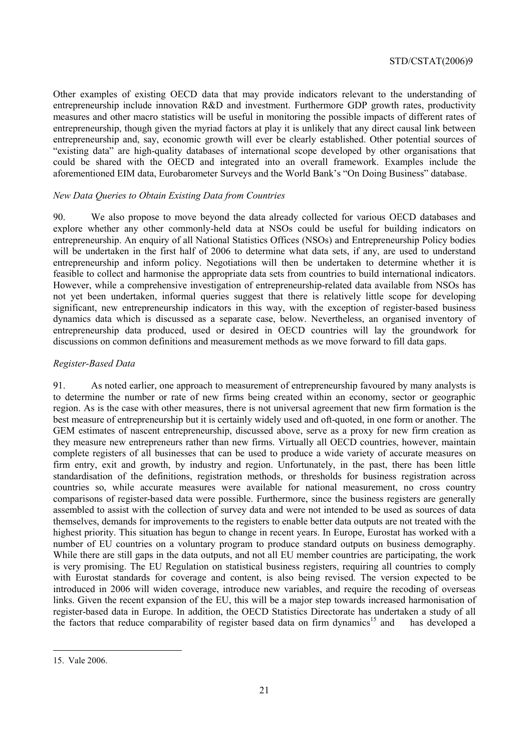Other examples of existing OECD data that may provide indicators relevant to the understanding of entrepreneurship include innovation R&D and investment. Furthermore GDP growth rates, productivity measures and other macro statistics will be useful in monitoring the possible impacts of different rates of entrepreneurship, though given the myriad factors at play it is unlikely that any direct causal link between entrepreneurship and, say, economic growth will ever be clearly established. Other potential sources of ìexisting dataî are high-quality databases of international scope developed by other organisations that could be shared with the OECD and integrated into an overall framework. Examples include the aforementioned EIM data, Eurobarometer Surveys and the World Bank's "On Doing Business" database.

#### *New Data Queries to Obtain Existing Data from Countries*

90. We also propose to move beyond the data already collected for various OECD databases and explore whether any other commonly-held data at NSOs could be useful for building indicators on entrepreneurship. An enquiry of all National Statistics Offices (NSOs) and Entrepreneurship Policy bodies will be undertaken in the first half of 2006 to determine what data sets, if any, are used to understand entrepreneurship and inform policy. Negotiations will then be undertaken to determine whether it is feasible to collect and harmonise the appropriate data sets from countries to build international indicators. However, while a comprehensive investigation of entrepreneurship-related data available from NSOs has not yet been undertaken, informal queries suggest that there is relatively little scope for developing significant, new entrepreneurship indicators in this way, with the exception of register-based business dynamics data which is discussed as a separate case, below. Nevertheless, an organised inventory of entrepreneurship data produced, used or desired in OECD countries will lay the groundwork for discussions on common definitions and measurement methods as we move forward to fill data gaps.

#### *Register-Based Data*

91. As noted earlier, one approach to measurement of entrepreneurship favoured by many analysts is to determine the number or rate of new firms being created within an economy, sector or geographic region. As is the case with other measures, there is not universal agreement that new firm formation is the best measure of entrepreneurship but it is certainly widely used and oft-quoted, in one form or another. The GEM estimates of nascent entrepreneurship, discussed above, serve as a proxy for new firm creation as they measure new entrepreneurs rather than new firms. Virtually all OECD countries, however, maintain complete registers of all businesses that can be used to produce a wide variety of accurate measures on firm entry, exit and growth, by industry and region. Unfortunately, in the past, there has been little standardisation of the definitions, registration methods, or thresholds for business registration across countries so, while accurate measures were available for national measurement, no cross country comparisons of register-based data were possible. Furthermore, since the business registers are generally assembled to assist with the collection of survey data and were not intended to be used as sources of data themselves, demands for improvements to the registers to enable better data outputs are not treated with the highest priority. This situation has begun to change in recent years. In Europe, Eurostat has worked with a number of EU countries on a voluntary program to produce standard outputs on business demography. While there are still gaps in the data outputs, and not all EU member countries are participating, the work is very promising. The EU Regulation on statistical business registers, requiring all countries to comply with Eurostat standards for coverage and content, is also being revised. The version expected to be introduced in 2006 will widen coverage, introduce new variables, and require the recoding of overseas links. Given the recent expansion of the EU, this will be a major step towards increased harmonisation of register-based data in Europe. In addition, the OECD Statistics Directorate has undertaken a study of all the factors that reduce comparability of register based data on firm dynamics<sup>15</sup> and has developed a

<sup>15.</sup> Vale 2006.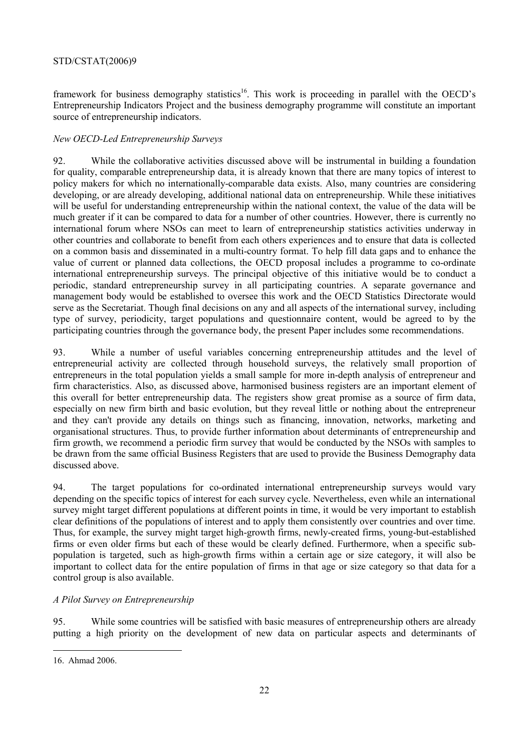framework for business demography statistics<sup>16</sup>. This work is proceeding in parallel with the OECD's Entrepreneurship Indicators Project and the business demography programme will constitute an important source of entrepreneurship indicators.

# *New OECD-Led Entrepreneurship Surveys*

92. While the collaborative activities discussed above will be instrumental in building a foundation for quality, comparable entrepreneurship data, it is already known that there are many topics of interest to policy makers for which no internationally-comparable data exists. Also, many countries are considering developing, or are already developing, additional national data on entrepreneurship. While these initiatives will be useful for understanding entrepreneurship within the national context, the value of the data will be much greater if it can be compared to data for a number of other countries. However, there is currently no international forum where NSOs can meet to learn of entrepreneurship statistics activities underway in other countries and collaborate to benefit from each others experiences and to ensure that data is collected on a common basis and disseminated in a multi-country format. To help fill data gaps and to enhance the value of current or planned data collections, the OECD proposal includes a programme to co-ordinate international entrepreneurship surveys. The principal objective of this initiative would be to conduct a periodic, standard entrepreneurship survey in all participating countries. A separate governance and management body would be established to oversee this work and the OECD Statistics Directorate would serve as the Secretariat. Though final decisions on any and all aspects of the international survey, including type of survey, periodicity, target populations and questionnaire content, would be agreed to by the participating countries through the governance body, the present Paper includes some recommendations.

93. While a number of useful variables concerning entrepreneurship attitudes and the level of entrepreneurial activity are collected through household surveys, the relatively small proportion of entrepreneurs in the total population yields a small sample for more in-depth analysis of entrepreneur and firm characteristics. Also, as discussed above, harmonised business registers are an important element of this overall for better entrepreneurship data. The registers show great promise as a source of firm data, especially on new firm birth and basic evolution, but they reveal little or nothing about the entrepreneur and they can't provide any details on things such as financing, innovation, networks, marketing and organisational structures. Thus, to provide further information about determinants of entrepreneurship and firm growth, we recommend a periodic firm survey that would be conducted by the NSOs with samples to be drawn from the same official Business Registers that are used to provide the Business Demography data discussed above.

94. The target populations for co-ordinated international entrepreneurship surveys would vary depending on the specific topics of interest for each survey cycle. Nevertheless, even while an international survey might target different populations at different points in time, it would be very important to establish clear definitions of the populations of interest and to apply them consistently over countries and over time. Thus, for example, the survey might target high-growth firms, newly-created firms, young-but-established firms or even older firms but each of these would be clearly defined. Furthermore, when a specific subpopulation is targeted, such as high-growth firms within a certain age or size category, it will also be important to collect data for the entire population of firms in that age or size category so that data for a control group is also available.

# *A Pilot Survey on Entrepreneurship*

95. While some countries will be satisfied with basic measures of entrepreneurship others are already putting a high priority on the development of new data on particular aspects and determinants of

<sup>16.</sup> Ahmad 2006.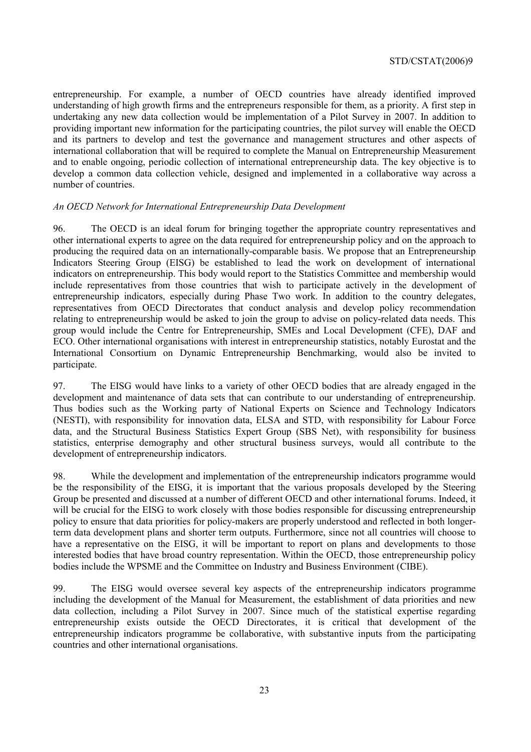entrepreneurship. For example, a number of OECD countries have already identified improved understanding of high growth firms and the entrepreneurs responsible for them, as a priority. A first step in undertaking any new data collection would be implementation of a Pilot Survey in 2007. In addition to providing important new information for the participating countries, the pilot survey will enable the OECD and its partners to develop and test the governance and management structures and other aspects of international collaboration that will be required to complete the Manual on Entrepreneurship Measurement and to enable ongoing, periodic collection of international entrepreneurship data. The key objective is to develop a common data collection vehicle, designed and implemented in a collaborative way across a number of countries.

#### *An OECD Network for International Entrepreneurship Data Development*

96. The OECD is an ideal forum for bringing together the appropriate country representatives and other international experts to agree on the data required for entrepreneurship policy and on the approach to producing the required data on an internationally-comparable basis. We propose that an Entrepreneurship Indicators Steering Group (EISG) be established to lead the work on development of international indicators on entrepreneurship. This body would report to the Statistics Committee and membership would include representatives from those countries that wish to participate actively in the development of entrepreneurship indicators, especially during Phase Two work. In addition to the country delegates, representatives from OECD Directorates that conduct analysis and develop policy recommendation relating to entrepreneurship would be asked to join the group to advise on policy-related data needs. This group would include the Centre for Entrepreneurship, SMEs and Local Development (CFE), DAF and ECO. Other international organisations with interest in entrepreneurship statistics, notably Eurostat and the International Consortium on Dynamic Entrepreneurship Benchmarking, would also be invited to participate.

97. The EISG would have links to a variety of other OECD bodies that are already engaged in the development and maintenance of data sets that can contribute to our understanding of entrepreneurship. Thus bodies such as the Working party of National Experts on Science and Technology Indicators (NESTI), with responsibility for innovation data, ELSA and STD, with responsibility for Labour Force data, and the Structural Business Statistics Expert Group (SBS Net), with responsibility for business statistics, enterprise demography and other structural business surveys, would all contribute to the development of entrepreneurship indicators.

98. While the development and implementation of the entrepreneurship indicators programme would be the responsibility of the EISG, it is important that the various proposals developed by the Steering Group be presented and discussed at a number of different OECD and other international forums. Indeed, it will be crucial for the EISG to work closely with those bodies responsible for discussing entrepreneurship policy to ensure that data priorities for policy-makers are properly understood and reflected in both longerterm data development plans and shorter term outputs. Furthermore, since not all countries will choose to have a representative on the EISG, it will be important to report on plans and developments to those interested bodies that have broad country representation. Within the OECD, those entrepreneurship policy bodies include the WPSME and the Committee on Industry and Business Environment (CIBE).

99. The EISG would oversee several key aspects of the entrepreneurship indicators programme including the development of the Manual for Measurement, the establishment of data priorities and new data collection, including a Pilot Survey in 2007. Since much of the statistical expertise regarding entrepreneurship exists outside the OECD Directorates, it is critical that development of the entrepreneurship indicators programme be collaborative, with substantive inputs from the participating countries and other international organisations.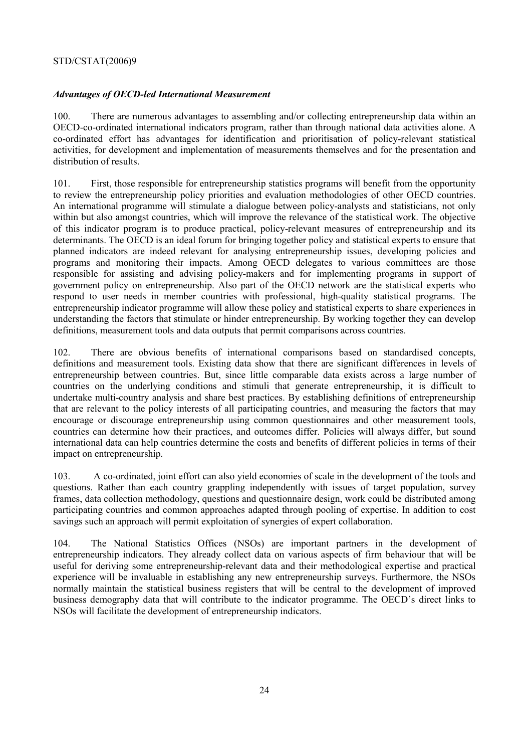# *Advantages of OECD-led International Measurement*

100. There are numerous advantages to assembling and/or collecting entrepreneurship data within an OECD-co-ordinated international indicators program, rather than through national data activities alone. A co-ordinated effort has advantages for identification and prioritisation of policy-relevant statistical activities, for development and implementation of measurements themselves and for the presentation and distribution of results.

101. First, those responsible for entrepreneurship statistics programs will benefit from the opportunity to review the entrepreneurship policy priorities and evaluation methodologies of other OECD countries. An international programme will stimulate a dialogue between policy-analysts and statisticians, not only within but also amongst countries, which will improve the relevance of the statistical work. The objective of this indicator program is to produce practical, policy-relevant measures of entrepreneurship and its determinants. The OECD is an ideal forum for bringing together policy and statistical experts to ensure that planned indicators are indeed relevant for analysing entrepreneurship issues, developing policies and programs and monitoring their impacts. Among OECD delegates to various committees are those responsible for assisting and advising policy-makers and for implementing programs in support of government policy on entrepreneurship. Also part of the OECD network are the statistical experts who respond to user needs in member countries with professional, high-quality statistical programs. The entrepreneurship indicator programme will allow these policy and statistical experts to share experiences in understanding the factors that stimulate or hinder entrepreneurship. By working together they can develop definitions, measurement tools and data outputs that permit comparisons across countries.

102. There are obvious benefits of international comparisons based on standardised concepts, definitions and measurement tools. Existing data show that there are significant differences in levels of entrepreneurship between countries. But, since little comparable data exists across a large number of countries on the underlying conditions and stimuli that generate entrepreneurship, it is difficult to undertake multi-country analysis and share best practices. By establishing definitions of entrepreneurship that are relevant to the policy interests of all participating countries, and measuring the factors that may encourage or discourage entrepreneurship using common questionnaires and other measurement tools, countries can determine how their practices, and outcomes differ. Policies will always differ, but sound international data can help countries determine the costs and benefits of different policies in terms of their impact on entrepreneurship.

103. A co-ordinated, joint effort can also yield economies of scale in the development of the tools and questions. Rather than each country grappling independently with issues of target population, survey frames, data collection methodology, questions and questionnaire design, work could be distributed among participating countries and common approaches adapted through pooling of expertise. In addition to cost savings such an approach will permit exploitation of synergies of expert collaboration.

104. The National Statistics Offices (NSOs) are important partners in the development of entrepreneurship indicators. They already collect data on various aspects of firm behaviour that will be useful for deriving some entrepreneurship-relevant data and their methodological expertise and practical experience will be invaluable in establishing any new entrepreneurship surveys. Furthermore, the NSOs normally maintain the statistical business registers that will be central to the development of improved business demography data that will contribute to the indicator programme. The OECD's direct links to NSOs will facilitate the development of entrepreneurship indicators.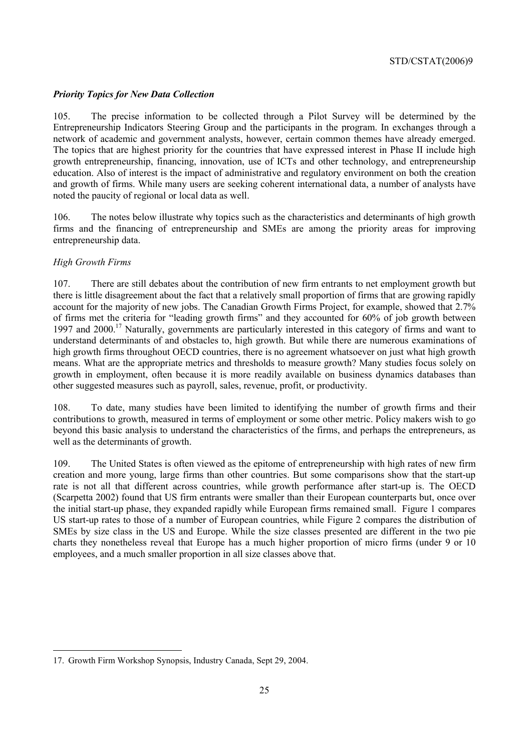# *Priority Topics for New Data Collection*

105. The precise information to be collected through a Pilot Survey will be determined by the Entrepreneurship Indicators Steering Group and the participants in the program. In exchanges through a network of academic and government analysts, however, certain common themes have already emerged. The topics that are highest priority for the countries that have expressed interest in Phase II include high growth entrepreneurship, financing, innovation, use of ICTs and other technology, and entrepreneurship education. Also of interest is the impact of administrative and regulatory environment on both the creation and growth of firms. While many users are seeking coherent international data, a number of analysts have noted the paucity of regional or local data as well.

106. The notes below illustrate why topics such as the characteristics and determinants of high growth firms and the financing of entrepreneurship and SMEs are among the priority areas for improving entrepreneurship data.

#### *High Growth Firms*

107. There are still debates about the contribution of new firm entrants to net employment growth but there is little disagreement about the fact that a relatively small proportion of firms that are growing rapidly account for the majority of new jobs. The Canadian Growth Firms Project, for example, showed that 2.7% of firms met the criteria for "leading growth firms" and they accounted for 60% of job growth between 1997 and 2000.<sup>17</sup> Naturally, governments are particularly interested in this category of firms and want to understand determinants of and obstacles to, high growth. But while there are numerous examinations of high growth firms throughout OECD countries, there is no agreement whatsoever on just what high growth means. What are the appropriate metrics and thresholds to measure growth? Many studies focus solely on growth in employment, often because it is more readily available on business dynamics databases than other suggested measures such as payroll, sales, revenue, profit, or productivity.

108. To date, many studies have been limited to identifying the number of growth firms and their contributions to growth, measured in terms of employment or some other metric. Policy makers wish to go beyond this basic analysis to understand the characteristics of the firms, and perhaps the entrepreneurs, as well as the determinants of growth.

109. The United States is often viewed as the epitome of entrepreneurship with high rates of new firm creation and more young, large firms than other countries. But some comparisons show that the start-up rate is not all that different across countries, while growth performance after start-up is. The OECD (Scarpetta 2002) found that US firm entrants were smaller than their European counterparts but, once over the initial start-up phase, they expanded rapidly while European firms remained small. Figure 1 compares US start-up rates to those of a number of European countries, while Figure 2 compares the distribution of SMEs by size class in the US and Europe. While the size classes presented are different in the two pie charts they nonetheless reveal that Europe has a much higher proportion of micro firms (under 9 or 10 employees, and a much smaller proportion in all size classes above that.

<sup>17.</sup> Growth Firm Workshop Synopsis, Industry Canada, Sept 29, 2004.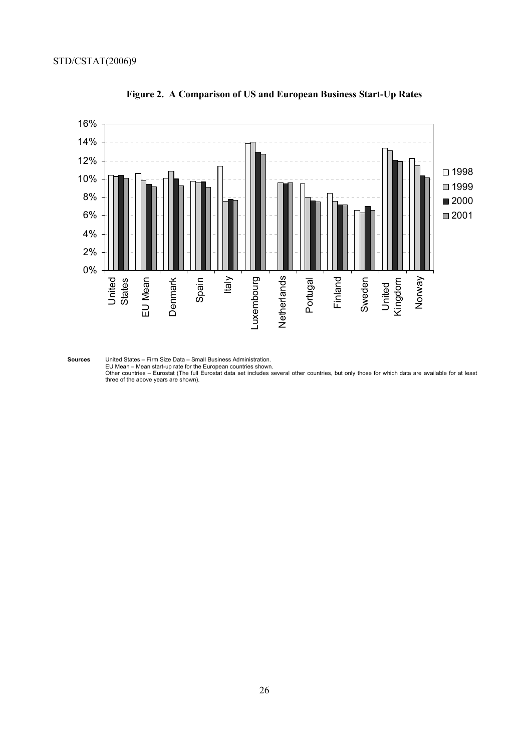

**Figure 2. A Comparison of US and European Business Start-Up Rates** 

**Sources** United States – Firm Size Data – Small Business Administration.

EU Mean – Mean start-up rate for the European countries shown.<br>Other countries – Eurostat (The full Eurostat data set includes several other countries, but only those for which data are available for at least three of the above years are shown).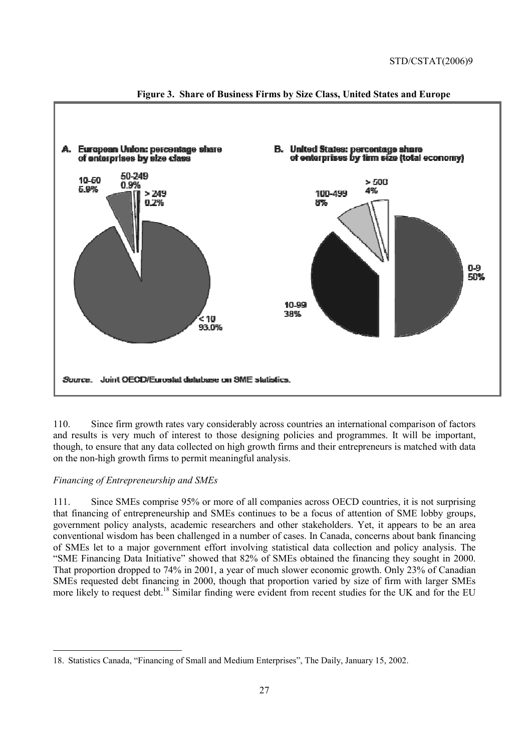

**Figure 3. Share of Business Firms by Size Class, United States and Europe** 

110. Since firm growth rates vary considerably across countries an international comparison of factors and results is very much of interest to those designing policies and programmes. It will be important, though, to ensure that any data collected on high growth firms and their entrepreneurs is matched with data on the non-high growth firms to permit meaningful analysis.

#### *Financing of Entrepreneurship and SMEs*

111. Since SMEs comprise 95% or more of all companies across OECD countries, it is not surprising that financing of entrepreneurship and SMEs continues to be a focus of attention of SME lobby groups, government policy analysts, academic researchers and other stakeholders. Yet, it appears to be an area conventional wisdom has been challenged in a number of cases. In Canada, concerns about bank financing of SMEs let to a major government effort involving statistical data collection and policy analysis. The ìSME Financing Data Initiativeî showed that 82% of SMEs obtained the financing they sought in 2000. That proportion dropped to 74% in 2001, a year of much slower economic growth. Only 23% of Canadian SMEs requested debt financing in 2000, though that proportion varied by size of firm with larger SMEs more likely to request debt.<sup>18</sup> Similar finding were evident from recent studies for the UK and for the EU

<sup>18.</sup> Statistics Canada, "Financing of Small and Medium Enterprises", The Daily, January 15, 2002.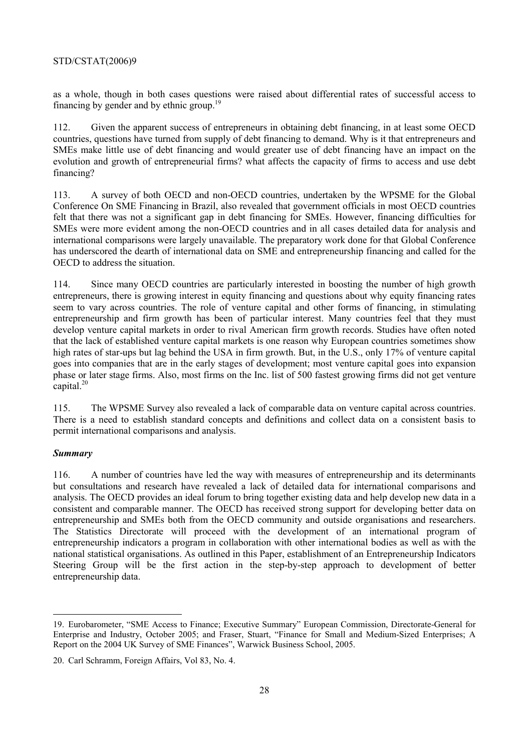as a whole, though in both cases questions were raised about differential rates of successful access to financing by gender and by ethnic group.<sup>19</sup>

112. Given the apparent success of entrepreneurs in obtaining debt financing, in at least some OECD countries, questions have turned from supply of debt financing to demand. Why is it that entrepreneurs and SMEs make little use of debt financing and would greater use of debt financing have an impact on the evolution and growth of entrepreneurial firms? what affects the capacity of firms to access and use debt financing?

113. A survey of both OECD and non-OECD countries, undertaken by the WPSME for the Global Conference On SME Financing in Brazil, also revealed that government officials in most OECD countries felt that there was not a significant gap in debt financing for SMEs. However, financing difficulties for SMEs were more evident among the non-OECD countries and in all cases detailed data for analysis and international comparisons were largely unavailable. The preparatory work done for that Global Conference has underscored the dearth of international data on SME and entrepreneurship financing and called for the OECD to address the situation.

114. Since many OECD countries are particularly interested in boosting the number of high growth entrepreneurs, there is growing interest in equity financing and questions about why equity financing rates seem to vary across countries. The role of venture capital and other forms of financing, in stimulating entrepreneurship and firm growth has been of particular interest. Many countries feel that they must develop venture capital markets in order to rival American firm growth records. Studies have often noted that the lack of established venture capital markets is one reason why European countries sometimes show high rates of star-ups but lag behind the USA in firm growth. But, in the U.S., only 17% of venture capital goes into companies that are in the early stages of development; most venture capital goes into expansion phase or later stage firms. Also, most firms on the Inc. list of 500 fastest growing firms did not get venture capital.<sup>20</sup>

115. The WPSME Survey also revealed a lack of comparable data on venture capital across countries. There is a need to establish standard concepts and definitions and collect data on a consistent basis to permit international comparisons and analysis.

# *Summary*

116. A number of countries have led the way with measures of entrepreneurship and its determinants but consultations and research have revealed a lack of detailed data for international comparisons and analysis. The OECD provides an ideal forum to bring together existing data and help develop new data in a consistent and comparable manner. The OECD has received strong support for developing better data on entrepreneurship and SMEs both from the OECD community and outside organisations and researchers. The Statistics Directorate will proceed with the development of an international program of entrepreneurship indicators a program in collaboration with other international bodies as well as with the national statistical organisations. As outlined in this Paper, establishment of an Entrepreneurship Indicators Steering Group will be the first action in the step-by-step approach to development of better entrepreneurship data.

<sup>19.</sup> Eurobarometer, "SME Access to Finance; Executive Summary" European Commission, Directorate-General for Enterprise and Industry, October 2005; and Fraser, Stuart, "Finance for Small and Medium-Sized Enterprises; A Report on the 2004 UK Survey of SME Finances", Warwick Business School, 2005.

<sup>20.</sup> Carl Schramm, Foreign Affairs, Vol 83, No. 4.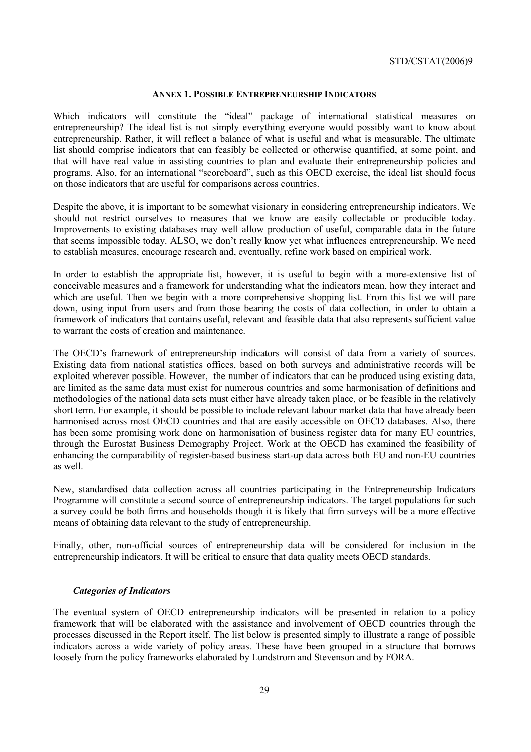#### **ANNEX 1. POSSIBLE ENTREPRENEURSHIP INDICATORS**

Which indicators will constitute the "ideal" package of international statistical measures on entrepreneurship? The ideal list is not simply everything everyone would possibly want to know about entrepreneurship. Rather, it will reflect a balance of what is useful and what is measurable. The ultimate list should comprise indicators that can feasibly be collected or otherwise quantified, at some point, and that will have real value in assisting countries to plan and evaluate their entrepreneurship policies and programs. Also, for an international "scoreboard", such as this OECD exercise, the ideal list should focus on those indicators that are useful for comparisons across countries.

Despite the above, it is important to be somewhat visionary in considering entrepreneurship indicators. We should not restrict ourselves to measures that we know are easily collectable or producible today. Improvements to existing databases may well allow production of useful, comparable data in the future that seems impossible today. ALSO, we donít really know yet what influences entrepreneurship. We need to establish measures, encourage research and, eventually, refine work based on empirical work.

In order to establish the appropriate list, however, it is useful to begin with a more-extensive list of conceivable measures and a framework for understanding what the indicators mean, how they interact and which are useful. Then we begin with a more comprehensive shopping list. From this list we will pare down, using input from users and from those bearing the costs of data collection, in order to obtain a framework of indicators that contains useful, relevant and feasible data that also represents sufficient value to warrant the costs of creation and maintenance.

The OECD's framework of entrepreneurship indicators will consist of data from a variety of sources. Existing data from national statistics offices, based on both surveys and administrative records will be exploited wherever possible. However, the number of indicators that can be produced using existing data, are limited as the same data must exist for numerous countries and some harmonisation of definitions and methodologies of the national data sets must either have already taken place, or be feasible in the relatively short term. For example, it should be possible to include relevant labour market data that have already been harmonised across most OECD countries and that are easily accessible on OECD databases. Also, there has been some promising work done on harmonisation of business register data for many EU countries, through the Eurostat Business Demography Project. Work at the OECD has examined the feasibility of enhancing the comparability of register-based business start-up data across both EU and non-EU countries as well.

New, standardised data collection across all countries participating in the Entrepreneurship Indicators Programme will constitute a second source of entrepreneurship indicators. The target populations for such a survey could be both firms and households though it is likely that firm surveys will be a more effective means of obtaining data relevant to the study of entrepreneurship.

Finally, other, non-official sources of entrepreneurship data will be considered for inclusion in the entrepreneurship indicators. It will be critical to ensure that data quality meets OECD standards.

#### *Categories of Indicators*

The eventual system of OECD entrepreneurship indicators will be presented in relation to a policy framework that will be elaborated with the assistance and involvement of OECD countries through the processes discussed in the Report itself. The list below is presented simply to illustrate a range of possible indicators across a wide variety of policy areas. These have been grouped in a structure that borrows loosely from the policy frameworks elaborated by Lundstrom and Stevenson and by FORA.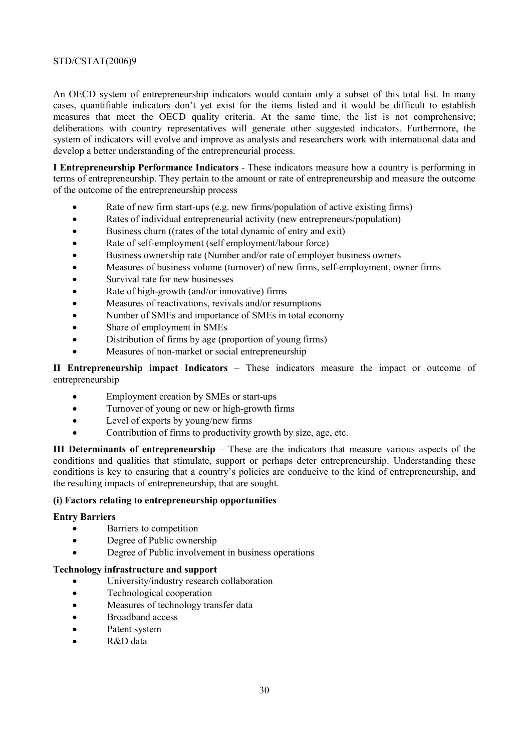An OECD system of entrepreneurship indicators would contain only a subset of this total list. In many cases, quantifiable indicators don't vet exist for the items listed and it would be difficult to establish measures that meet the OECD quality criteria. At the same time, the list is not comprehensive; deliberations with country representatives will generate other suggested indicators. Furthermore, the system of indicators will evolve and improve as analysts and researchers work with international data and develop a better understanding of the entrepreneurial process.

**I Entrepreneurship Performance Indicators** - These indicators measure how a country is performing in terms of entrepreneurship. They pertain to the amount or rate of entrepreneurship and measure the outcome of the outcome of the entrepreneurship process

- Rate of new firm start-ups (e.g. new firms/population of active existing firms)
- Rates of individual entrepreneurial activity (new entrepreneurs/population)
- Business churn ((rates of the total dynamic of entry and exit)
- Rate of self-employment (self employment/labour force)
- Business ownership rate (Number and/or rate of employer business owners
- Measures of business volume (turnover) of new firms, self-employment, owner firms
- Survival rate for new businesses
- Rate of high-growth (and/or innovative) firms
- Measures of reactivations, revivals and/or resumptions
- Number of SMEs and importance of SMEs in total economy
- Share of employment in SMEs
- Distribution of firms by age (proportion of young firms)
- Measures of non-market or social entrepreneurship

**II Entrepreneurship impact Indicators** – These indicators measure the impact or outcome of entrepreneurship

- Employment creation by SMEs or start-ups
- Turnover of young or new or high-growth firms
- Level of exports by young/new firms
- Contribution of firms to productivity growth by size, age, etc.

**III Determinants of entrepreneurship** – These are the indicators that measure various aspects of the conditions and qualities that stimulate, support or perhaps deter entrepreneurship. Understanding these conditions is key to ensuring that a country's policies are conducive to the kind of entrepreneurship, and the resulting impacts of entrepreneurship, that are sought.

#### **(i) Factors relating to entrepreneurship opportunities**

#### **Entry Barriers**

- Barriers to competition
- Degree of Public ownership
- Degree of Public involvement in business operations

#### **Technology infrastructure and support**

- University/industry research collaboration
- Technological cooperation
- Measures of technology transfer data
- Broadband access
- Patent system
- R&D data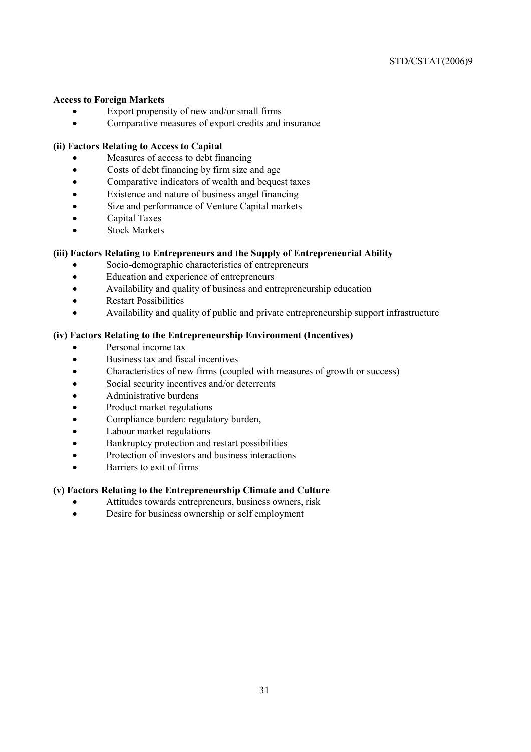#### **Access to Foreign Markets**

- Export propensity of new and/or small firms
- Comparative measures of export credits and insurance

#### **(ii) Factors Relating to Access to Capital**

- Measures of access to debt financing
- Costs of debt financing by firm size and age
- Comparative indicators of wealth and bequest taxes
- Existence and nature of business angel financing
- Size and performance of Venture Capital markets
- Capital Taxes
- **Stock Markets**

#### **(iii) Factors Relating to Entrepreneurs and the Supply of Entrepreneurial Ability**

- Socio-demographic characteristics of entrepreneurs
- Education and experience of entrepreneurs
- Availability and quality of business and entrepreneurship education
- Restart Possibilities
- Availability and quality of public and private entrepreneurship support infrastructure

#### **(iv) Factors Relating to the Entrepreneurship Environment (Incentives)**

- Personal income tax
- Business tax and fiscal incentives
- Characteristics of new firms (coupled with measures of growth or success)
- Social security incentives and/or deterrents
- Administrative burdens
- Product market regulations
- Compliance burden: regulatory burden,
- Labour market regulations
- Bankruptcy protection and restart possibilities
- Protection of investors and business interactions
- Barriers to exit of firms

## **(v) Factors Relating to the Entrepreneurship Climate and Culture**

- Attitudes towards entrepreneurs, business owners, risk
- Desire for business ownership or self employment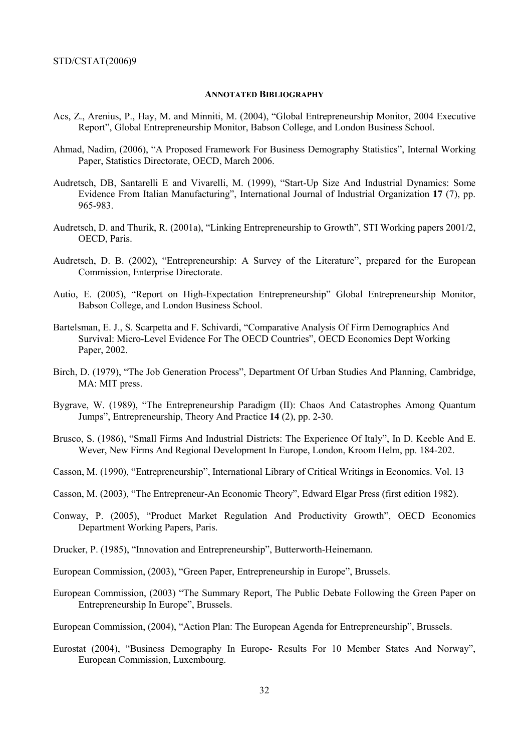#### **ANNOTATED BIBLIOGRAPHY**

- Acs, Z., Arenius, P., Hay, M. and Minniti, M. (2004), "Global Entrepreneurship Monitor, 2004 Executive Report", Global Entrepreneurship Monitor, Babson College, and London Business School.
- Ahmad, Nadim, (2006), "A Proposed Framework For Business Demography Statistics", Internal Working Paper, Statistics Directorate, OECD, March 2006.
- Audretsch, DB, Santarelli E and Vivarelli, M. (1999), "Start-Up Size And Industrial Dynamics: Some Evidence From Italian Manufacturing", International Journal of Industrial Organization 17 (7), pp. 965-983.
- Audretsch, D. and Thurik, R. (2001a), "Linking Entrepreneurship to Growth", STI Working papers 2001/2, OECD, Paris.
- Audretsch, D. B. (2002), "Entrepreneurship: A Survey of the Literature", prepared for the European Commission, Enterprise Directorate.
- Autio, E. (2005), "Report on High-Expectation Entrepreneurship" Global Entrepreneurship Monitor, Babson College, and London Business School.
- Bartelsman, E. J., S. Scarpetta and F. Schivardi, "Comparative Analysis Of Firm Demographics And Survival: Micro-Level Evidence For The OECD Countries", OECD Economics Dept Working Paper, 2002.
- Birch, D. (1979), "The Job Generation Process", Department Of Urban Studies And Planning, Cambridge, MA: MIT press.
- Bygrave, W. (1989), "The Entrepreneurship Paradigm (II): Chaos And Catastrophes Among Quantum Jumpsî, Entrepreneurship, Theory And Practice **14** (2), pp. 2-30.
- Brusco, S. (1986), "Small Firms And Industrial Districts: The Experience Of Italy", In D. Keeble And E. Wever, New Firms And Regional Development In Europe, London, Kroom Helm, pp. 184-202.
- Casson, M. (1990), "Entrepreneurship", International Library of Critical Writings in Economics. Vol. 13
- Casson, M. (2003), "The Entrepreneur-An Economic Theory", Edward Elgar Press (first edition 1982).
- Conway, P. (2005), "Product Market Regulation And Productivity Growth", OECD Economics Department Working Papers, Paris.
- Drucker, P. (1985), "Innovation and Entrepreneurship", Butterworth-Heinemann.
- European Commission, (2003), "Green Paper, Entrepreneurship in Europe", Brussels.
- European Commission, (2003) "The Summary Report, The Public Debate Following the Green Paper on Entrepreneurship In Europe", Brussels.
- European Commission, (2004), "Action Plan: The European Agenda for Entrepreneurship", Brussels.
- Eurostat (2004), "Business Demography In Europe- Results For 10 Member States And Norway", European Commission, Luxembourg.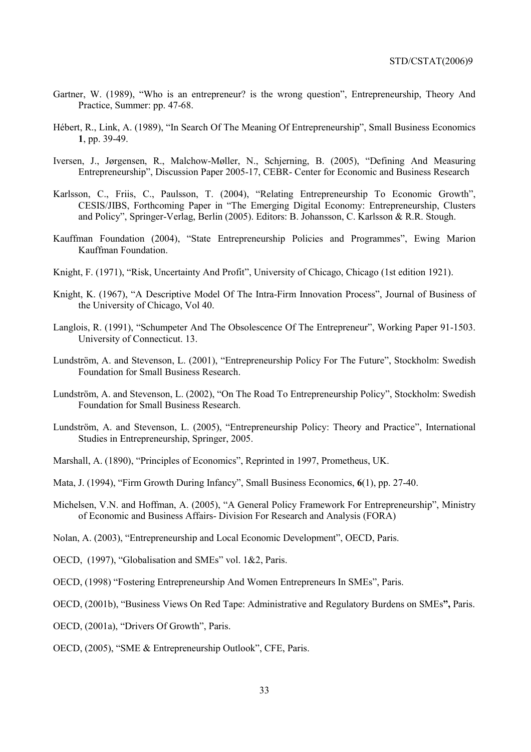- Gartner, W. (1989), "Who is an entrepreneur? is the wrong question", Entrepreneurship, Theory And Practice, Summer: pp. 47-68.
- Hébert, R., Link, A. (1989), "In Search Of The Meaning Of Entrepreneurship", Small Business Economics **1**, pp. 39-49.
- Iversen, J., Jørgensen, R., Malchow-Møller, N., Schjerning, B. (2005), "Defining And Measuring Entrepreneurshipî, Discussion Paper 2005-17, CEBR- Center for Economic and Business Research
- Karlsson, C., Friis, C., Paulsson, T. (2004), "Relating Entrepreneurship To Economic Growth", CESIS/JIBS, Forthcoming Paper in "The Emerging Digital Economy: Entrepreneurship, Clusters and Policy", Springer-Verlag, Berlin (2005). Editors: B. Johansson, C. Karlsson & R.R. Stough.
- Kauffman Foundation (2004), "State Entrepreneurship Policies and Programmes", Ewing Marion Kauffman Foundation.
- Knight, F. (1971), "Risk, Uncertainty And Profit", University of Chicago, Chicago (1st edition 1921).
- Knight, K. (1967), "A Descriptive Model Of The Intra-Firm Innovation Process", Journal of Business of the University of Chicago, Vol 40.
- Langlois, R. (1991), "Schumpeter And The Obsolescence Of The Entrepreneur", Working Paper 91-1503. University of Connecticut. 13.
- Lundström, A. and Stevenson, L. (2001), "Entrepreneurship Policy For The Future", Stockholm: Swedish Foundation for Small Business Research.
- Lundström, A. and Stevenson, L. (2002), "On The Road To Entrepreneurship Policy", Stockholm: Swedish Foundation for Small Business Research.
- Lundström, A. and Stevenson, L. (2005), "Entrepreneurship Policy: Theory and Practice", International Studies in Entrepreneurship, Springer, 2005.
- Marshall, A. (1890), "Principles of Economics", Reprinted in 1997, Prometheus, UK.
- Mata, J. (1994), "Firm Growth During Infancy", Small Business Economics, 6(1), pp. 27-40.
- Michelsen, V.N. and Hoffman, A. (2005), "A General Policy Framework For Entrepreneurship", Ministry of Economic and Business Affairs- Division For Research and Analysis (FORA)
- Nolan, A. (2003), "Entrepreneurship and Local Economic Development", OECD, Paris.
- OECD, (1997), "Globalisation and SMEs" vol. 1&2, Paris.
- OECD, (1998) "Fostering Entrepreneurship And Women Entrepreneurs In SMEs", Paris.
- OECD, (2001b), "Business Views On Red Tape: Administrative and Regulatory Burdens on SMEs", Paris.
- OECD, (2001a), "Drivers Of Growth", Paris.
- OECD, (2005), "SME & Entrepreneurship Outlook", CFE, Paris.